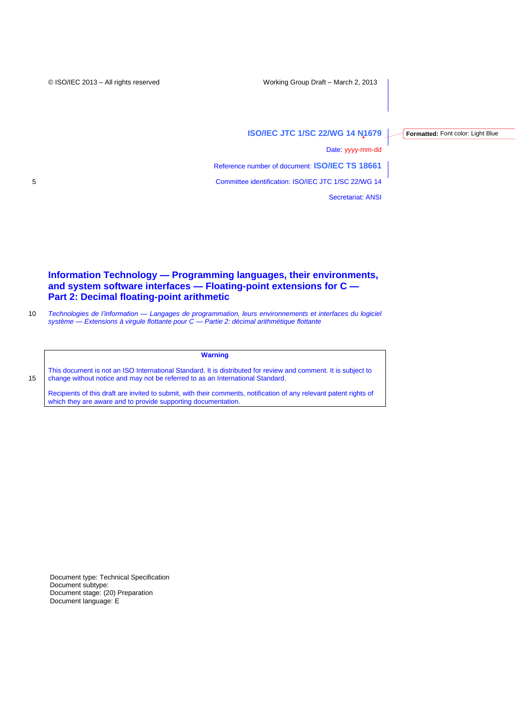**Formatted:** Font color: Light Blue

**ISO/IEC JTC 1/SC 22/WG 14 N1679**

Date: yyyy-mm-dd

Reference number of document: **ISO/IEC TS 18661**

5 Committee identification: ISO/IEC JTC 1/SC 22/WG 14

Secretariat: ANSI

# **Information Technology — Programming languages, their environments, and system software interfaces — Floating-point extensions for C — Part 2: Decimal floating-point arithmetic**

10 *Technologies de l'information — Langages de programmation, leurs environnements et interfaces du logiciel système — Extensions à virgule flottante pour C — Partie 2: décimal arithmétique flottante*

## **Warning**

This document is not an ISO International Standard. It is distributed for review and comment. It is subject to 15 change without notice and may not be referred to as an International Standard.

Recipients of this draft are invited to submit, with their comments, notification of any relevant patent rights of which they are aware and to provide supporting documentation.

Document type: Technical Specification Document subtype: Document stage: (20) Preparation Document language: E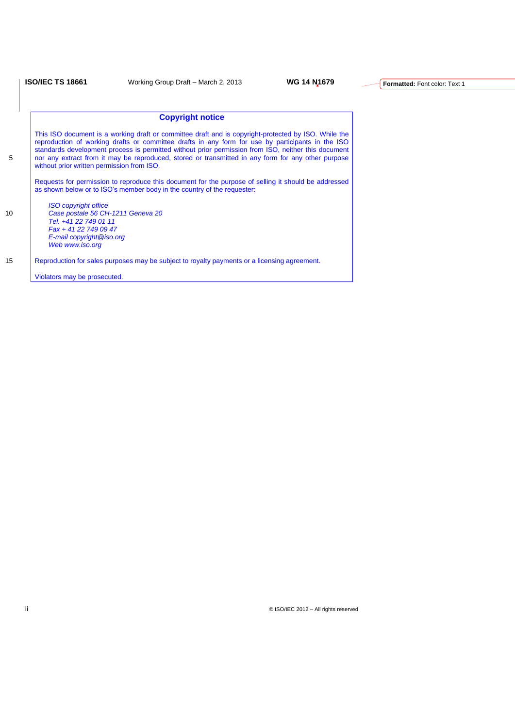# **Copyright notice**

This ISO document is a working draft or committee draft and is copyright-protected by ISO. While the reproduction of working drafts or committee drafts in any form for use by participants in the ISO standards development process is permitted without prior permission from ISO, neither this document 5 nor any extract from it may be reproduced, stored or transmitted in any form for any other purpose without prior written permission from ISO. Requests for permission to reproduce this document for the purpose of selling it should be addressed as shown below or to ISO's member body in the country of the requester: *ISO copyright office* 10 *Case postale 56 CH-1211 Geneva 20 Tel. +41 22 749 01 11 Fax + 41 22 749 09 47 E-mail copyright@iso.org Web www.iso.org* 15 Reproduction for sales purposes may be subject to royalty payments or a licensing agreement.

Violators may be prosecuted.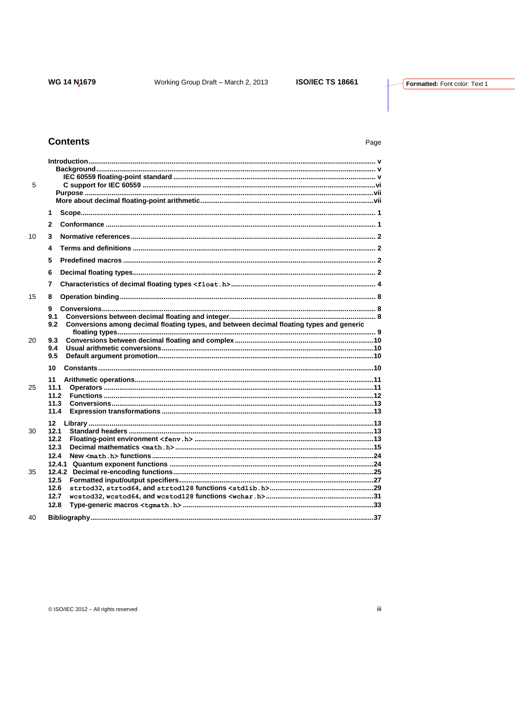# **Contents**

# Page

| 5  |                                                                                                             |
|----|-------------------------------------------------------------------------------------------------------------|
|    | 1                                                                                                           |
|    | $\mathbf{2}$                                                                                                |
| 10 | 3                                                                                                           |
|    | 4                                                                                                           |
|    | 5                                                                                                           |
|    | 6                                                                                                           |
|    | 7                                                                                                           |
| 15 | 8                                                                                                           |
|    | g<br>9.1<br>9.2<br>Conversions among decimal floating types, and between decimal floating types and generic |
| 20 | 9.3<br>9.4<br>9.5                                                                                           |
| 25 | 10<br>11<br>11.1<br>11.2<br>11.3<br>11.4                                                                    |
| 30 | 12<br>12.1<br>12.2<br>12.3<br>12.4                                                                          |
| 35 | 12.5<br>12.6<br>12.7<br>12.8                                                                                |
| 40 |                                                                                                             |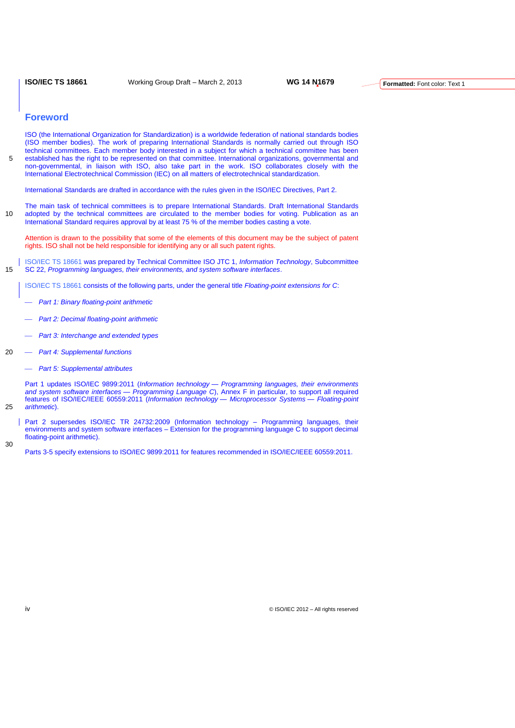**ISO/IEC TS 18661** Working Group Draft – March 2, 2013 **WG 14 N1679**

## **Foreword**

ISO (the International Organization for Standardization) is a worldwide federation of national standards bodies (ISO member bodies). The work of preparing International Standards is normally carried out through ISO technical committees. Each member body interested in a subject for which a technical committee has been 5 established has the right to be represented on that committee. International organizations, governmental and non-governmental, in liaison with ISO, also take part in the work. ISO collaborates closely with the International Electrotechnical Commission (IEC) on all matters of electrotechnical standardization.

International Standards are drafted in accordance with the rules given in the ISO/IEC Directives, Part 2.

The main task of technical committees is to prepare International Standards. Draft International Standards 10 adopted by the technical committees are circulated to the member bodies for voting. Publication as an International Standard requires approval by at least 75 % of the member bodies casting a vote.

Attention is drawn to the possibility that some of the elements of this document may be the subject of patent rights. ISO shall not be held responsible for identifying any or all such patent rights.

ISO/IEC TS 18661 was prepared by Technical Committee ISO JTC 1, *Information Technology*, Subcommittee 15 SC 22, *Programming languages, their environments, and system software interfaces*.

ISO/IEC TS 18661 consists of the following parts, under the general title *Floating-point extensions for C*:

- *Part 1: Binary floating-point arithmetic*
- *Part 2: Decimal floating-point arithmetic*
- *Part 3: Interchange and extended types*
- 20 *Part 4: Supplemental functions*
	- *Part 5: Supplemental attributes*

Part 1 updates ISO/IEC 9899:2011 (*Information technology — Programming languages, their environments and system software interfaces — Programming Language C*), Annex F in particular, to support all required features of ISO/IEC/IEEE 60559:2011 (*Information technology — Microprocessor Systems — Floating-point*  25 *arithmetic*).

Part 2 supersedes ISO/IEC TR 24732:2009 (Information technology – Programming languages, their environments and system software interfaces – Extension for the programming language C to support decimal floating-point arithmetic).

Parts 3-5 specify extensions to ISO/IEC 9899:2011 for features recommended in ISO/IEC/IEEE 60559:2011.

iv © ISO/IEC 2012 – All rights reserved

30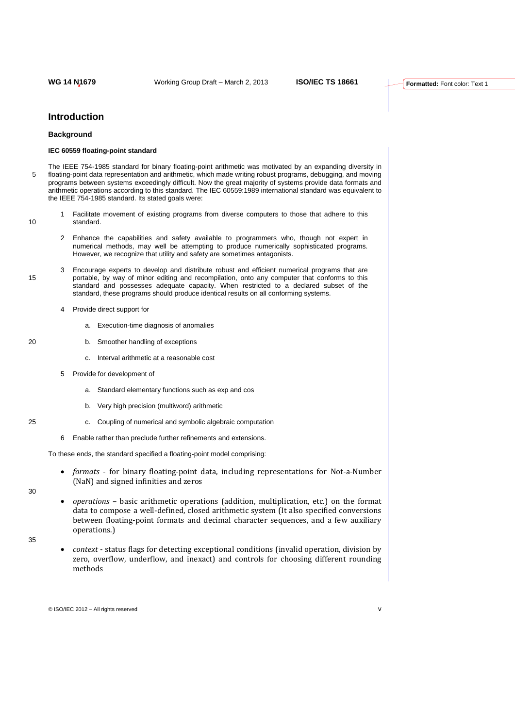## **Introduction**

## **Background**

## **IEC 60559 floating-point standard**

The IEEE 754-1985 standard for binary floating-point arithmetic was motivated by an expanding diversity in 5 floating-point data representation and arithmetic, which made writing robust programs, debugging, and moving programs between systems exceedingly difficult. Now the great majority of systems provide data formats and arithmetic operations according to this standard. The IEC 60559:1989 international standard was equivalent to the IEEE 754-1985 standard. Its stated goals were:

- 1 Facilitate movement of existing programs from diverse computers to those that adhere to this 10 standard.
	- 2 Enhance the capabilities and safety available to programmers who, though not expert in numerical methods, may well be attempting to produce numerically sophisticated programs. However, we recognize that utility and safety are sometimes antagonists.
- 3 Encourage experts to develop and distribute robust and efficient numerical programs that are 15 portable, by way of minor editing and recompilation, onto any computer that conforms to this standard and possesses adequate capacity. When restricted to a declared subset of the standard, these programs should produce identical results on all conforming systems.
	- Provide direct support for
		- a. Execution-time diagnosis of anomalies
- 20 b. Smoother handling of exceptions
	- c. Interval arithmetic at a reasonable cost
	- 5 Provide for development of
		- a. Standard elementary functions such as exp and cos
		- b. Very high precision (multiword) arithmetic
- 25 c. Coupling of numerical and symbolic algebraic computation
	- 6 Enable rather than preclude further refinements and extensions.

To these ends, the standard specified a floating-point model comprising:

- *formats* for binary floating-point data, including representations for Not-a-Number (NaN) and signed infinities and zeros
- 30
- *operations* basic arithmetic operations (addition, multiplication, etc.) on the format data to compose a well-defined, closed arithmetic system (It also specified conversions between floating-point formats and decimal character sequences, and a few auxiliary operations.)
- 35
- *context* status flags for detecting exceptional conditions (invalid operation, division by zero, overflow, underflow, and inexact) and controls for choosing different rounding methods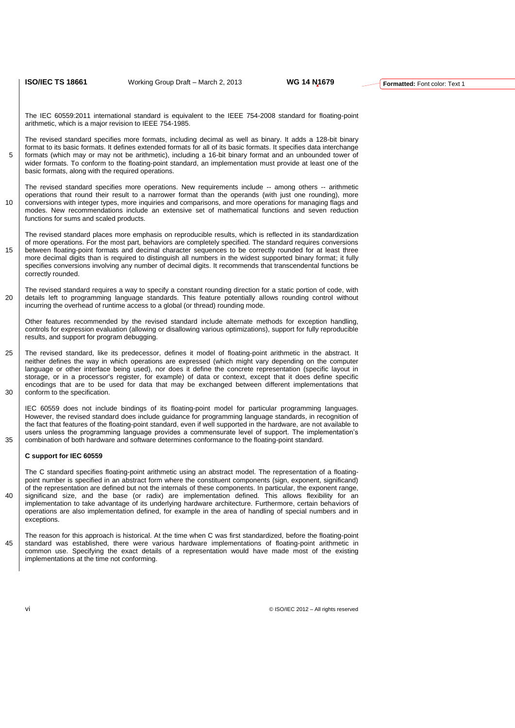The IEC 60559:2011 international standard is equivalent to the IEEE 754-2008 standard for floating-point arithmetic, which is a major revision to IEEE 754-1985.

The revised standard specifies more formats, including decimal as well as binary. It adds a 128-bit binary format to its basic formats. It defines extended formats for all of its basic formats. It specifies data interchange 5 formats (which may or may not be arithmetic), including a 16-bit binary format and an unbounded tower of wider formats. To conform to the floating-point standard, an implementation must provide at least one of the basic formats, along with the required operations.

The revised standard specifies more operations. New requirements include -- among others -- arithmetic operations that round their result to a narrower format than the operands (with just one rounding), more 10 conversions with integer types, more inquiries and comparisons, and more operations for managing flags and modes. New recommendations include an extensive set of mathematical functions and seven reduction functions for sums and scaled products.

The revised standard places more emphasis on reproducible results, which is reflected in its standardization of more operations. For the most part, behaviors are completely specified. The standard requires conversions 15 between floating-point formats and decimal character sequences to be correctly rounded for at least three more decimal digits than is required to distinguish all numbers in the widest supported binary format; it fully specifies conversions involving any number of decimal digits. It recommends that transcendental functions be correctly rounded.

The revised standard requires a way to specify a constant rounding direction for a static portion of code, with 20 details left to programming language standards. This feature potentially allows rounding control without incurring the overhead of runtime access to a global (or thread) rounding mode.

Other features recommended by the revised standard include alternate methods for exception handling, controls for expression evaluation (allowing or disallowing various optimizations), support for fully reproducible results, and support for program debugging.

25 The revised standard, like its predecessor, defines it model of floating-point arithmetic in the abstract. It neither defines the way in which operations are expressed (which might vary depending on the computer language or other interface being used), nor does it define the concrete representation (specific layout in storage, or in a processor's register, for example) of data or context, except that it does define specific encodings that are to be used for data that may be exchanged between different implementations that 30 conform to the specification.

IEC 60559 does not include bindings of its floating-point model for particular programming languages. However, the revised standard does include guidance for programming language standards, in recognition of the fact that features of the floating-point standard, even if well supported in the hardware, are not available to users unless the programming language provides a commensurate level of support. The implementation's 35 combination of both hardware and software determines conformance to the floating-point standard.

#### **C support for IEC 60559**

The C standard specifies floating-point arithmetic using an abstract model. The representation of a floatingpoint number is specified in an abstract form where the constituent components (sign, exponent, significand) of the representation are defined but not the internals of these components. In particular, the exponent range, 40 significand size, and the base (or radix) are implementation defined. This allows flexibility for an implementation to take advantage of its underlying hardware architecture. Furthermore, certain behaviors of operations are also implementation defined, for example in the area of handling of special numbers and in exceptions.

The reason for this approach is historical. At the time when C was first standardized, before the floating-point 45 standard was established, there were various hardware implementations of floating-point arithmetic in common use. Specifying the exact details of a representation would have made most of the existing implementations at the time not conforming.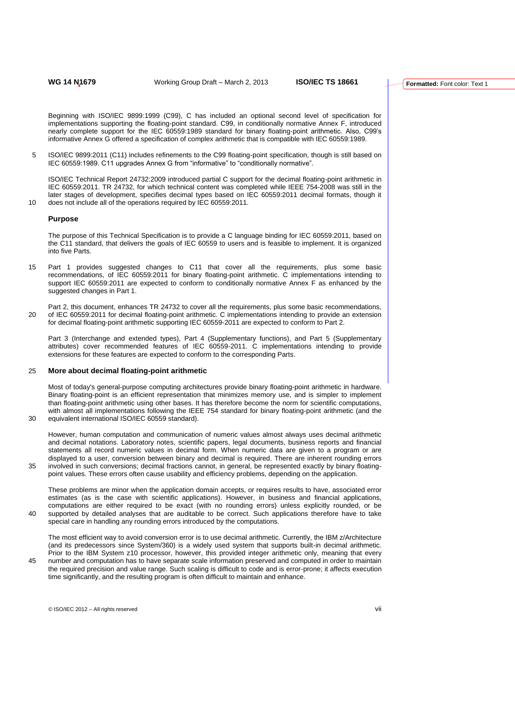Beginning with ISO/IEC 9899:1999 (C99), C has included an optional second level of specification for implementations supporting the floating-point standard. C99, in conditionally normative Annex F, introduced nearly complete support for the IEC 60559:1989 standard for binary floating-point arithmetic. Also, C99's informative Annex G offered a specification of complex arithmetic that is compatible with IEC 60559:1989.

5 ISO/IEC 9899:2011 (C11) includes refinements to the C99 floating-point specification, though is still based on IEC 60559:1989. C11 upgrades Annex G from "informative" to "conditionally normative".

ISO/IEC Technical Report 24732:2009 introduced partial C support for the decimal floating-point arithmetic in IEC 60559:2011. TR 24732, for which technical content was completed while IEEE 754-2008 was still in the later stages of development, specifies decimal types based on IEC 60559:2011 decimal formats, though it 10 does not include all of the operations required by IEC 60559:2011.

#### **Purpose**

The purpose of this Technical Specification is to provide a C language binding for IEC 60559:2011, based on the C11 standard, that delivers the goals of IEC 60559 to users and is feasible to implement. It is organized into five Parts.

- 15 Part 1 provides suggested changes to C11 that cover all the requirements, plus some basic recommendations, of IEC 60559:2011 for binary floating-point arithmetic. C implementations intending to support IEC 60559:2011 are expected to conform to conditionally normative Annex F as enhanced by the suggested changes in Part 1.
- Part 2, this document, enhances TR 24732 to cover all the requirements, plus some basic recommendations, 20 of IEC 60559:2011 for decimal floating-point arithmetic. C implementations intending to provide an extension for decimal floating-point arithmetic supporting IEC 60559-2011 are expected to conform to Part 2.

Part 3 (Interchange and extended types), Part 4 (Supplementary functions), and Part 5 (Supplementary attributes) cover recommended features of IEC 60559-2011. C implementations intending to provide extensions for these features are expected to conform to the corresponding Parts.

#### 25 **More about decimal floating-point arithmetic**

Most of today's general-purpose computing architectures provide binary floating-point arithmetic in hardware. Binary floating-point is an efficient representation that minimizes memory use, and is simpler to implement than floating-point arithmetic using other bases. It has therefore become the norm for scientific computations, with almost all implementations following the IEEE 754 standard for binary floating-point arithmetic (and the 30 equivalent international ISO/IEC 60559 standard).

However, human computation and communication of numeric values almost always uses decimal arithmetic and decimal notations. Laboratory notes, scientific papers, legal documents, business reports and financial statements all record numeric values in decimal form. When numeric data are given to a program or are displayed to a user, conversion between binary and decimal is required. There are inherent rounding errors 35 involved in such conversions; decimal fractions cannot, in general, be represented exactly by binary floatingpoint values. These errors often cause usability and efficiency problems, depending on the application.

These problems are minor when the application domain accepts, or requires results to have, associated error estimates (as is the case with scientific applications). However, in business and financial applications, computations are either required to be exact (with no rounding errors) unless explicitly rounded, or be 40 supported by detailed analyses that are auditable to be correct. Such applications therefore have to take special care in handling any rounding errors introduced by the computations.

The most efficient way to avoid conversion error is to use decimal arithmetic. Currently, the IBM z/Architecture (and its predecessors since System/360) is a widely used system that supports built-in decimal arithmetic. Prior to the IBM System z10 processor, however, this provided integer arithmetic only, meaning that every 45 number and computation has to have separate scale information preserved and computed in order to maintain the required precision and value range. Such scaling is difficult to code and is error-prone; it affects execution time significantly, and the resulting program is often difficult to maintain and enhance.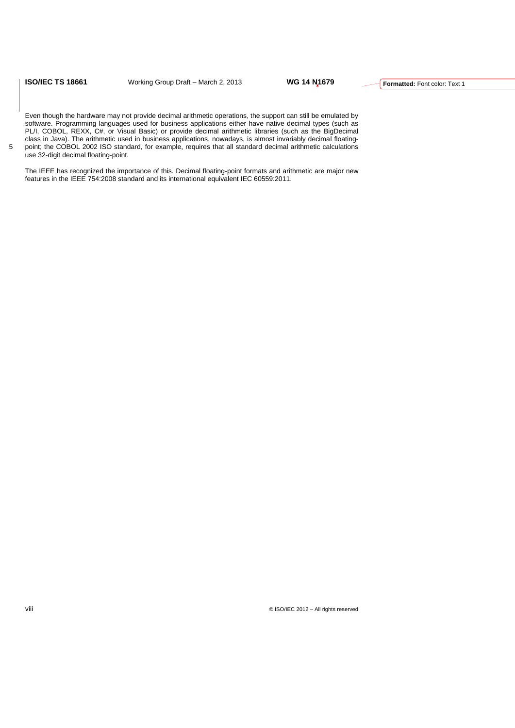**ISO/IEC TS 18661** Working Group Draft – March 2, 2013 **WG 14 N1679**

Even though the hardware may not provide decimal arithmetic operations, the support can still be emulated by software. Programming languages used for business applications either have native decimal types (such as PL/I, COBOL, REXX, C#, or Visual Basic) or provide decimal arithmetic libraries (such as the BigDecimal class in Java). The arithmetic used in business applications, nowadays, is almost invariably decimal floating-5 point; the COBOL 2002 ISO standard, for example, requires that all standard decimal arithmetic calculations

use 32-digit decimal floating-point.

The IEEE has recognized the importance of this. Decimal floating-point formats and arithmetic are major new features in the IEEE 754:2008 standard and its international equivalent IEC 60559:2011.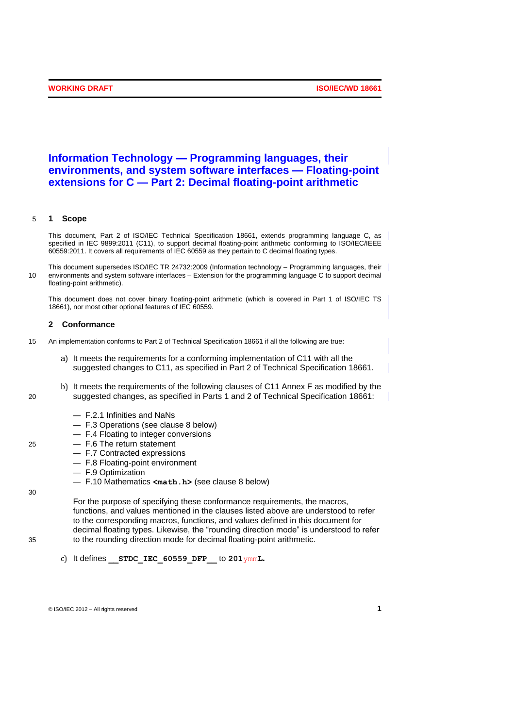# **Information Technology — Programming languages, their environments, and system software interfaces — Floating-point extensions for C — Part 2: Decimal floating-point arithmetic**

### 5 **1 Scope**

This document, Part 2 of ISO/IEC Technical Specification 18661, extends programming language C, as specified in IEC 9899:2011 (C11), to support decimal floating-point arithmetic conforming to ISO/IEC/IEEE 60559:2011. It covers all requirements of IEC 60559 as they pertain to C decimal floating types.

This document supersedes ISO/IEC TR 24732:2009 (Information technology – Programming languages, their 10 environments and system software interfaces – Extension for the programming language C to support decimal floating-point arithmetic).

This document does not cover binary floating-point arithmetic (which is covered in Part 1 of ISO/IEC TS 18661), nor most other optional features of IEC 60559.

## **2 Conformance**

- 15 An implementation conforms to Part 2 of Technical Specification 18661 if all the following are true:
	- a) It meets the requirements for a conforming implementation of C11 with all the suggested changes to C11, as specified in Part 2 of Technical Specification 18661.
- b) It meets the requirements of the following clauses of C11 Annex F as modified by the 20 suggested changes, as specified in Parts 1 and 2 of Technical Specification 18661:
	- F.2.1 Infinities and NaNs
	- F.3 Operations (see clause 8 below)
	- F.4 Floating to integer conversions
- 25 F.6 The return statement
	- F.7 Contracted expressions
	- F.8 Floating-point environment
	- F.9 Optimization
- 30
- F.10 Mathematics **<math.h>** (see clause 8 below)

For the purpose of specifying these conformance requirements, the macros, functions, and values mentioned in the clauses listed above are understood to refer to the corresponding macros, functions, and values defined in this document for decimal floating types. Likewise, the "rounding direction mode" is understood to refer 35 to the rounding direction mode for decimal floating-point arithmetic.

c) It defines **\_\_STDC\_IEC\_60559\_DFP\_\_** to **201**ymm**L.**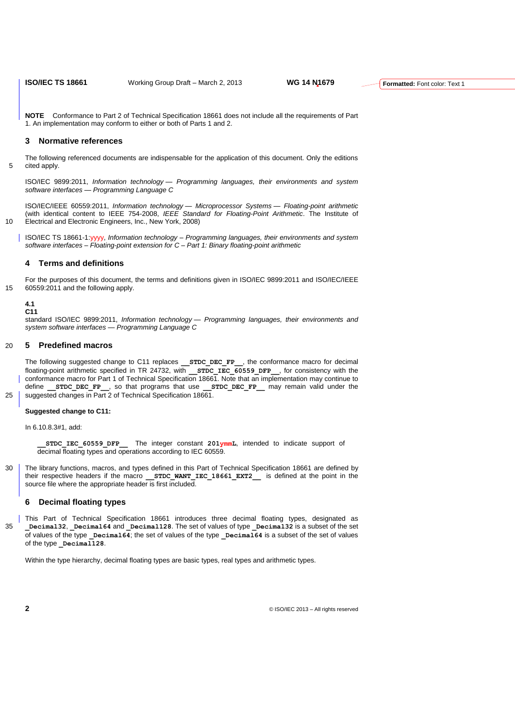**NOTE** Conformance to Part 2 of Technical Specification 18661 does not include all the requirements of Part 1. An implementation may conform to either or both of Parts 1 and 2.

## **3 Normative references**

The following referenced documents are indispensable for the application of this document. Only the editions 5 cited apply.

ISO/IEC 9899:2011, *Information technology — Programming languages, their environments and system software interfaces — Programming Language C*

ISO/IEC/IEEE 60559:2011, *Information technology — Microprocessor Systems — Floating-point arithmetic* (with identical content to IEEE 754-2008, *IEEE Standard for Floating-Point Arithmetic*. The Institute of 10 Electrical and Electronic Engineers, Inc., New York, 2008)

ISO/IEC TS 18661-1:yyyy, *Information technology – Programming languages, their environments and system software interfaces – Floating-point extension for C – Part 1: Binary floating-point arithmetic*

### **4 Terms and definitions**

For the purposes of this document, the terms and definitions given in ISO/IEC 9899:2011 and ISO/IEC/IEEE 15 60559:2011 and the following apply.

#### **4.1 C11**

standard ISO/IEC 9899:2011, *Information technology — Programming languages, their environments and system software interfaces — Programming Language C*

## 20 **5 Predefined macros**

The following suggested change to C11 replaces **\_\_STDC\_DEC\_FP\_\_**, the conformance macro for decimal floating-point arithmetic specified in TR 24732, with **STDC\_IEC\_60559\_DFP**\_, for consistency with the conformance macro for Part 1 of Technical Specification 18661. Note that an implementation may continue to define **\_\_STDC\_DEC\_FP\_\_**, so that programs that use **\_\_STDC\_DEC\_FP\_\_** may remain valid under the 25 | suggested changes in Part 2 of Technical Specification 18661.

## **Suggested change to C11:**

In 6.10.8.3#1, add:

**STDC IEC 60559 DFP** The integer constant 201ymmL, intended to indicate support of decimal floating types and operations according to IEC 60559.

30 The library functions, macros, and types defined in this Part of Technical Specification 18661 are defined by their respective headers if the macro **\_\_STDC\_WANT\_IEC\_18661\_EXT2\_\_** is defined at the point in the source file where the appropriate header is first included.

## **6 Decimal floating types**

This Part of Technical Specification 18661 introduces three decimal floating types, designated as 35 **\_Decimal32**, **\_Decimal64** and **\_Decimal128**. The set of values of type **\_Decimal32** is a subset of the set  $\overline{\phantom{a}}$  of values of the type **Decimal64**; the set of values of the type **Decimal64** is a subset of the set of values of the type **Decimal128**.

Within the type hierarchy, decimal floating types are basic types, real types and arithmetic types.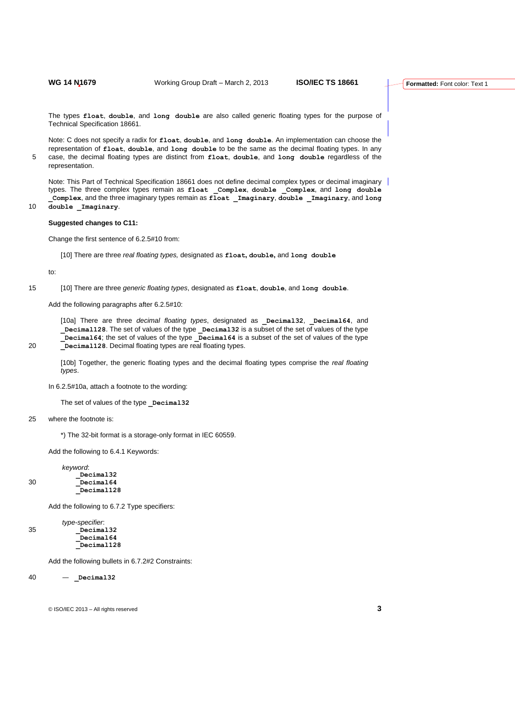The types **float**, **double**, and **long double** are also called generic floating types for the purpose of Technical Specification 18661.

Note: C does not specify a radix for **float**, **double**, and **long double**. An implementation can choose the representation of **float**, **double**, and **long double** to be the same as the decimal floating types. In any 5 case, the decimal floating types are distinct from **float**, **double**, and **long double** regardless of the representation.

Note: This Part of Technical Specification 18661 does not define decimal complex types or decimal imaginary types. The three complex types remain as **float \_Complex**, **double \_Complex**, and **long double \_Complex**, and the three imaginary types remain as **float \_Imaginary**, **double \_Imaginary**, and **long** 

10 **double** Imaginary.

## **Suggested changes to C11:**

Change the first sentence of 6.2.5#10 from:

[10] There are three *real floating types,* designated as **float, double,** and **long double**

to:

15 [10] There are three *generic floating types*, designated as **float**, **double**, and **long double**.

Add the following paragraphs after 6.2.5#10:

[10a] There are three *decimal floating types*, designated as **\_Decimal32**, **\_Decimal64**, and **\_Decimal128**. The set of values of the type **\_Decimal32** is a subset of the set of values of the type **\_Decimal64**; the set of values of the type **\_Decimal64** is a subset of the set of values of the type 20 **\_Decimal128**. Decimal floating types are real floating types.

[10b] Together, the generic floating types and the decimal floating types comprise the *real floating types*.

In 6.2.5#10a, attach a footnote to the wording:

The set of values of the type **Decimal32** 

25 where the footnote is:

\*) The 32-bit format is a storage-only format in IEC 60559.

Add the following to 6.4.1 Keywords:

*keyword*: **\_Decimal32** 30 **\_Decimal64 \_Decimal128**

Add the following to 6.7.2 Type specifiers:

*type-specifier*: 35 **\_Decimal32 \_Decimal64 \_Decimal128**

Add the following bullets in 6.7.2#2 Constraints:

40 — **\_Decimal32**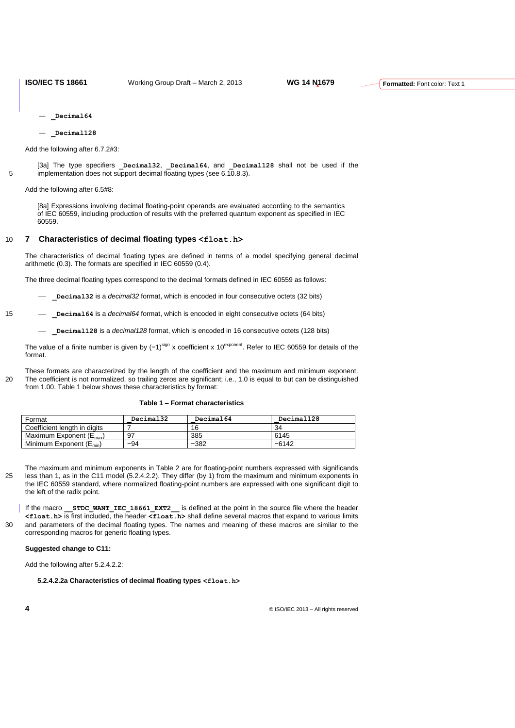- **\_Decimal64**
- **\_Decimal128**

Add the following after 6.7.2#3:

[3a] The type specifiers **\_Decimal32**, **\_Decimal64**, and **\_Decimal128** shall not be used if the 5 implementation does not support decimal floating types (see 6.10.8.3).

Add the following after 6.5#8:

[8a] Expressions involving decimal floating-point operands are evaluated according to the semantics of IEC 60559, including production of results with the preferred quantum exponent as specified in IEC 60559.

## 10 **7 Characteristics of decimal floating types <float.h>**

The characteristics of decimal floating types are defined in terms of a model specifying general decimal arithmetic (0.3). The formats are specified in IEC 60559 (0.4).

The three decimal floating types correspond to the decimal formats defined in IEC 60559 as follows:

**\_Decimal32** is a *decimal32* format, which is encoded in four consecutive octets (32 bits)

15 **\_Decimal64** is a *decimal64* format, which is encoded in eight consecutive octets (64 bits)

**\_Decimal128** is a *decimal128* format, which is encoded in 16 consecutive octets (128 bits)

The value of a finite number is given by (−1)<sup>sign</sup> x coefficient x 10<sup>exponent</sup>. Refer to IEC 60559 for details of the format.

These formats are characterized by the length of the coefficient and the maximum and minimum exponent. 20 The coefficient is not normalized, so trailing zeros are significant; i.e., 1.0 is equal to but can be distinguished from 1.00. Table 1 below shows these characteristics by format:

#### **Table 1 – Format characteristics**

| Format                              | Decimal32 | Decimal64 | Decimal128 |
|-------------------------------------|-----------|-----------|------------|
| Coefficient length in digits        |           | 16        | 34         |
| Maximum Exponent $(E_{\text{max}})$ | 97        | 385       | 6145       |
| Minimum Exponent $(E_{min})$        | $-94$     | $-382$    | $-6142$    |

The maximum and minimum exponents in Table 2 are for floating-point numbers expressed with significands 25 less than 1, as in the C11 model (5.2.4.2.2). They differ (by 1) from the maximum and minimum exponents in the IEC 60559 standard, where normalized floating-point numbers are expressed with one significant digit to the left of the radix point.

If the macro **STDC WANT IEC 18661 EXT2** is defined at the point in the source file where the header **<float.h>** is first included, the header **<float.h>** shall define several macros that expand to various limits 30 and parameters of the decimal floating types. The names and meaning of these macros are similar to the corresponding macros for generic floating types.

### **Suggested change to C11:**

Add the following after 5.2.4.2.2:

**5.2.4.2.2a Characteristics of decimal floating types <float.h>**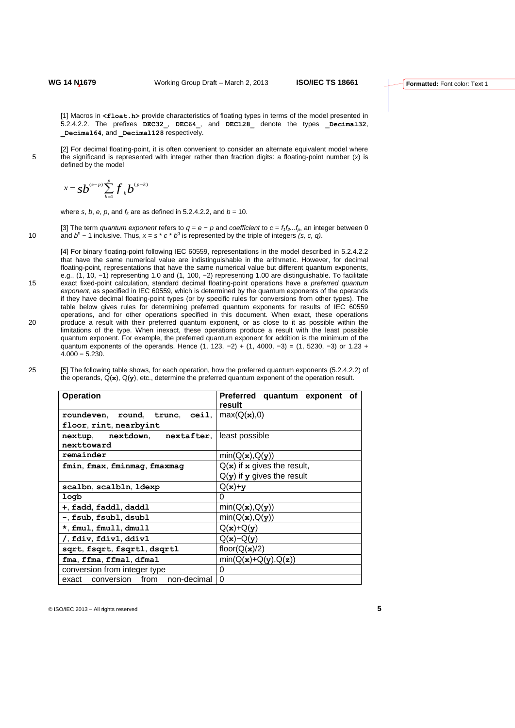[1] Macros in **<float.h>** provide characteristics of floating types in terms of the model presented in 5.2.4.2.2. The prefixes **DEC32\_**, **DEC64\_**, and **DEC128\_** denote the types **\_Decimal32**, **\_Decimal64**, and **\_Decimal128** respectively.

[2] For decimal floating-point, it is often convenient to consider an alternate equivalent model where 5 the significand is represented with integer rather than fraction digits: a floating-point number (*x*) is defined by the model

$$
x = s b^{(e-p)} \sum_{k=1}^{p} f_k b^{(p-k)}
$$

where *s*, *b*, *e*, *p*, and  $f_k$  are as defined in 5.2.4.2.2, and  $b = 10$ .

[3] The term *quantum exponent* refers to  $q = e - p$  and *coefficient* to  $c = f_1 f_2 \dots f_p$ , an integer between 0 10 and  $b^p$  − 1 inclusive. Thus,  $x = s * c * b^q$  is represented by the triple of integers *(s, c, q)*.

[4] For binary floating-point following IEC 60559, representations in the model described in 5.2.4.2.2 that have the same numerical value are indistinguishable in the arithmetic. However, for decimal floating-point, representations that have the same numerical value but different quantum exponents, e.g., (1, 10, -1) representing 1.0 and (1, 100, -2) representing 1.00 are distinguishable. To facilitate 15 exact fixed-point calculation, standard decimal floating-point operations have a *preferred quantum exponent*, as specified in IEC 60559, which is determined by the quantum exponents of the operands if they have decimal floating-point types (or by specific rules for conversions from other types). The table below gives rules for determining preferred quantum exponents for results of IEC 60559 operations, and for other operations specified in this document. When exact, these operations 20 produce a result with their preferred quantum exponent, or as close to it as possible within the limitations of the type. When inexact, these operations produce a result with the least possible quantum exponent. For example, the preferred quantum exponent for addition is the minimum of the quantum exponents of the operands. Hence (1, 123, -2) + (1, 4000, -3) = (1, 5230, -3) or 1.23 +  $4.000 = 5.230$ .

| <b>Operation</b>                            | Preferred quantum exponent of<br>result |  |  |
|---------------------------------------------|-----------------------------------------|--|--|
| roundeven, round, trunc, ceil,              | max(Q(x),0)                             |  |  |
| floor, rint, nearbyint                      |                                         |  |  |
| nextup, nextdown, nextafter, least possible |                                         |  |  |
| nexttoward                                  |                                         |  |  |
| remainder                                   | $min(Q(\mathbf{x}), Q(\mathbf{y}))$     |  |  |
| fmin, fmax, fminmag, fmaxmag                | $Q(x)$ if x gives the result,           |  |  |
|                                             | $Q(y)$ if y gives the result            |  |  |
| scalbn, scalbln, ldexp                      | $Q(x)+y$                                |  |  |
| logb                                        | $\Omega$                                |  |  |
| +, fadd, faddl, daddl                       | $min(Q(\mathbf{x}), Q(\mathbf{y}))$     |  |  |
| -, fsub, fsubl, dsubl                       | min(Q(x), Q(y))                         |  |  |
| *, fmul, fmull, dmull                       | $Q(x)+Q(y)$                             |  |  |
| /, fdiv, fdivl, ddivl                       | $Q(x) - Q(y)$                           |  |  |
| sqrt, fsqrt, fsqrtl, dsqrtl                 | floor( $Q(x)/2$ )                       |  |  |
| fma, ffma, ffmal, dfmal                     | $min(Q(x)+Q(y),Q(z))$                   |  |  |
| conversion from integer type                | 0                                       |  |  |
| exact conversion from non-decimal           | $\Omega$                                |  |  |

25 [5] The following table shows, for each operation, how the preferred quantum exponents (5.2.4.2.2) of the operands, Q(**x**), Q(**y**), etc., determine the preferred quantum exponent of the operation result.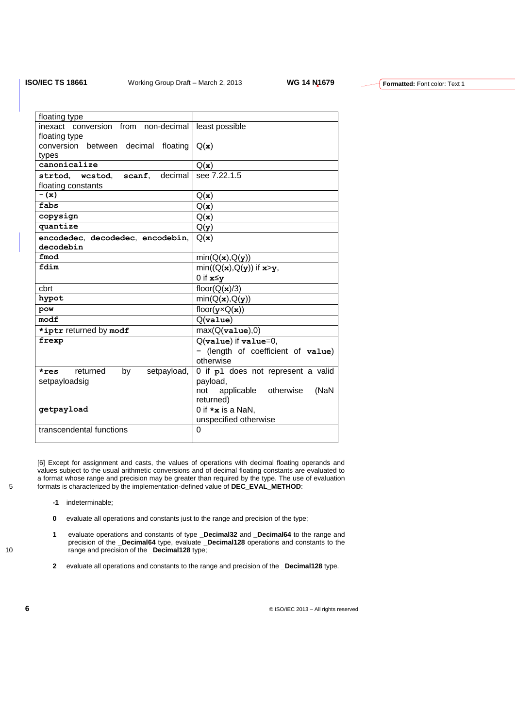| floating type                         |                                            |
|---------------------------------------|--------------------------------------------|
| inexact conversion from non-decimal   | least possible                             |
| floating type                         |                                            |
| conversion between decimal floating   | Q(x)                                       |
| types                                 |                                            |
| $c$ anonicalize                       | Q(x)                                       |
| strtod, westod, scanf, decimal        | see 7.22.1.5                               |
| floating constants                    |                                            |
| $-$ (x)                               | Q(x)                                       |
| fabs                                  | Q(x)                                       |
| copysign                              | Q(x)                                       |
| quantize                              | Q(y)                                       |
| encodedec, decodedec, encodebin,      | Q(x)                                       |
| decodebin                             |                                            |
| fmod                                  | min(Q(x), Q(y))                            |
| fdim                                  | $min((Q(x), Q(y))$ if $x>y$ ,              |
|                                       | 0 if $x \leq y$                            |
| cbrt                                  | floor( $Q(\mathbf{x})/3$ )                 |
| hypot                                 | min(Q(x), Q(y))                            |
| pow                                   | floor( $\mathbf{y} \times Q(\mathbf{x})$ ) |
| modf                                  | Q( <b>value</b> )                          |
| *iptr returned by modf                | max(Q( <b>value</b> ),0)                   |
| frexp                                 | $Q(\text{value})$ if $\text{value}=0$ ,    |
|                                       | - (length of coefficient of value)         |
|                                       | otherwise                                  |
| returned<br>by<br>setpayload,<br>*res | 0 if p1 does not represent a valid         |
| setpayloadsig                         | payload,                                   |
|                                       | applicable otherwise<br>not<br>(NaN        |
|                                       | returned)                                  |
| qetpayload                            | 0 if $\star$ <b>x</b> is a NaN,            |
|                                       | unspecified otherwise                      |
| transcendental functions              | $\Omega$                                   |
|                                       |                                            |

[6] Except for assignment and casts, the values of operations with decimal floating operands and values subject to the usual arithmetic conversions and of decimal floating constants are evaluated to a format whose range and precision may be greater than required by the type. The use of evaluation 5 formats is characterized by the implementation-defined value of **DEC\_EVAL\_METHOD**:

- **-1** indeterminable;
- **0** evaluate all operations and constants just to the range and precision of the type;
- **1** evaluate operations and constants of type **\_Decimal32** and **\_Decimal64** to the range and precision of the **\_Decimal64** type, evaluate **\_Decimal128** operations and constants to the 10 range and precision of the **\_Decimal128** type;
	- **2** evaluate all operations and constants to the range and precision of the **\_Decimal128** type.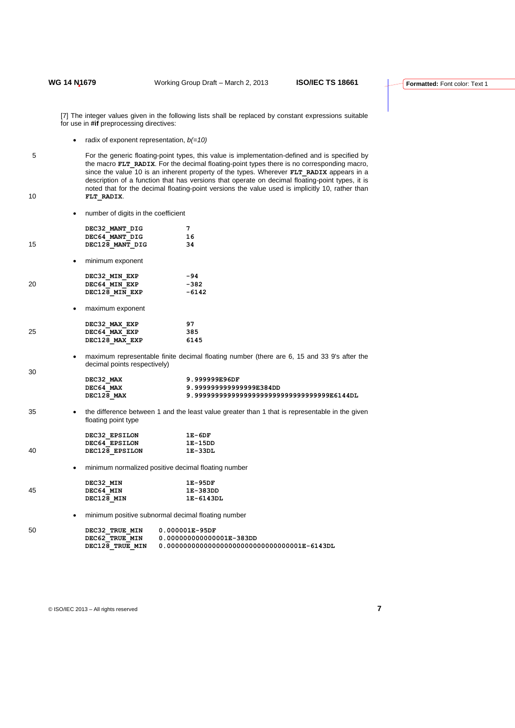[7] The integer values given in the following lists shall be replaced by constant expressions suitable for use in **#if** preprocessing directives:

radix of exponent representation, *b(=10)*

5 For the generic floating-point types, this value is implementation-defined and is specified by the macro **FLT\_RADIX**. For the decimal floating-point types there is no corresponding macro, since the value 10 is an inherent property of the types. Wherever **FLT\_RADIX** appears in a description of a function that has versions that operate on decimal floating-point types, it is noted that for the decimal floating-point versions the value used is implicitly 10, rather than 10 **FLT\_RADIX**.

number of digits in the coefficient

|    | TRITINGLY DI AIGNO ILI LITE COEFFICIELIL |                                                                                                |
|----|------------------------------------------|------------------------------------------------------------------------------------------------|
|    | DEC32 MANT DIG                           | 7                                                                                              |
|    | DEC64 MANT DIG                           | 16                                                                                             |
| 15 | DEC128 MANT DIG                          | 34                                                                                             |
|    | minimum exponent<br>$\bullet$            |                                                                                                |
|    | DEC32 MIN EXP                            | $-94$                                                                                          |
| 20 | DEC64 MIN EXP                            | $-382$                                                                                         |
|    | DEC128 MIN EXP                           | $-6142$                                                                                        |
|    | maximum exponent<br>٠                    |                                                                                                |
|    | DEC32 MAX EXP                            | 97                                                                                             |
| 25 | DEC64 MAX EXP                            | 385                                                                                            |
|    | DEC128 MAX EXP                           | 6145                                                                                           |
| 30 | ٠<br>decimal points respectively)        | maximum representable finite decimal floating number (there are 6, 15 and 33 9's after the     |
|    | DEC32 MAX                                | 9.999999E96DF                                                                                  |
|    | DEC64_MAX                                | 9.99999999999999E384DD                                                                         |
|    | DEC128 MAX                               | 9.9999999999999999999999999999999999E6144DL                                                    |
| 35 | $\bullet$<br>floating point type         | the difference between 1 and the least value greater than 1 that is representable in the given |
|    | DEC32 EPSILON 1E-6DF                     |                                                                                                |
|    | DEC64 EPSILON 1E-15DD                    |                                                                                                |
| 40 | DEC128 EPSILON                           | $1E-33DL$                                                                                      |
|    | ٠                                        | minimum normalized positive decimal floating number                                            |
|    | DEC32 MIN                                | 1E-95DF                                                                                        |
| 45 | DEC64 MIN                                | 1E-383DD                                                                                       |
|    | DEC128_MIN                               | 1E-6143DL                                                                                      |
|    | $\bullet$                                | minimum positive subnormal decimal floating number                                             |
| 50 | DEC32 TRUE MIN                           | $0.000001E-95DF$                                                                               |
|    | DEC62 TRUE MIN                           | 0.000000000000001E-383DD                                                                       |

**DEC128\_TRUE\_MIN 0.000000000000000000000000000000001E-6143DL**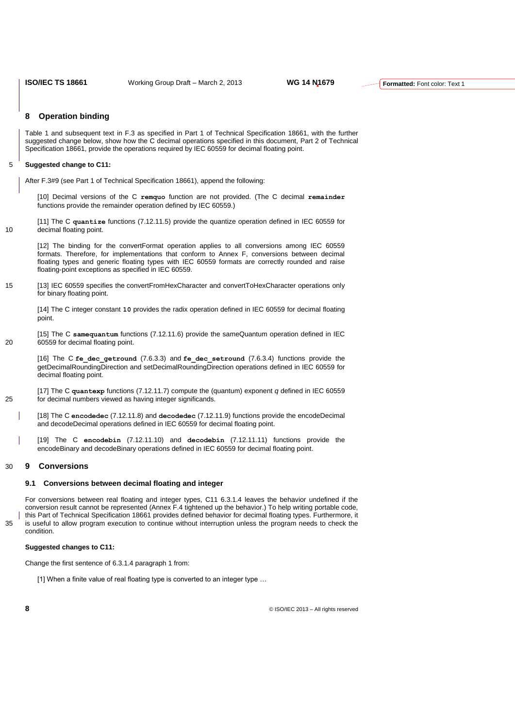## **8 Operation binding**

Table 1 and subsequent text in F.3 as specified in Part 1 of Technical Specification 18661, with the further suggested change below, show how the C decimal operations specified in this document, Part 2 of Technical Specification 18661, provide the operations required by IEC 60559 for decimal floating point.

## 5 **Suggested change to C11:**

After F.3#9 (see Part 1 of Technical Specification 18661), append the following:

[10] Decimal versions of the C **remquo** function are not provided. (The C decimal **remainder** functions provide the remainder operation defined by IEC 60559.)

[11] The C **quantize** functions (7.12.11.5) provide the quantize operation defined in IEC 60559 for 10 decimal floating point.

[12] The binding for the convertFormat operation applies to all conversions among IEC 60559 formats. Therefore, for implementations that conform to Annex F, conversions between decimal floating types and generic floating types with IEC 60559 formats are correctly rounded and raise floating-point exceptions as specified in IEC 60559.

15 [13] IEC 60559 specifies the convertFromHexCharacter and convertToHexCharacter operations only for binary floating point.

[14] The C integer constant **10** provides the radix operation defined in IEC 60559 for decimal floating point.

[15] The C **samequantum** functions (7.12.11.6) provide the sameQuantum operation defined in IEC 20 60559 for decimal floating point.

[16] The C **fe\_dec\_getround** (7.6.3.3) and **fe\_dec\_setround** (7.6.3.4) functions provide the getDecimalRoundingDirection and setDecimalRoundingDirection operations defined in IEC 60559 for decimal floating point.

[17] The C **quantexp** functions (7.12.11.7) compute the (quantum) exponent *q* defined in IEC 60559 25 for decimal numbers viewed as having integer significands.

[18] The C **encodedec** (7.12.11.8) and **decodedec** (7.12.11.9) functions provide the encodeDecimal and decodeDecimal operations defined in IEC 60559 for decimal floating point.

[19] The C **encodebin** (7.12.11.10) and **decodebin** (7.12.11.11) functions provide the encodeBinary and decodeBinary operations defined in IEC 60559 for decimal floating point.

#### 30 **9 Conversions**

#### **9.1 Conversions between decimal floating and integer**

For conversions between real floating and integer types, C11 6.3.1.4 leaves the behavior undefined if the conversion result cannot be represented (Annex F.4 tightened up the behavior.) To help writing portable code, this Part of Technical Specification 18661 provides defined behavior for decimal floating types. Furthermore, it 35 is useful to allow program execution to continue without interruption unless the program needs to check the condition.

#### **Suggested changes to C11:**

Change the first sentence of 6.3.1.4 paragraph 1 from:

[1] When a finite value of real floating type is converted to an integer type ...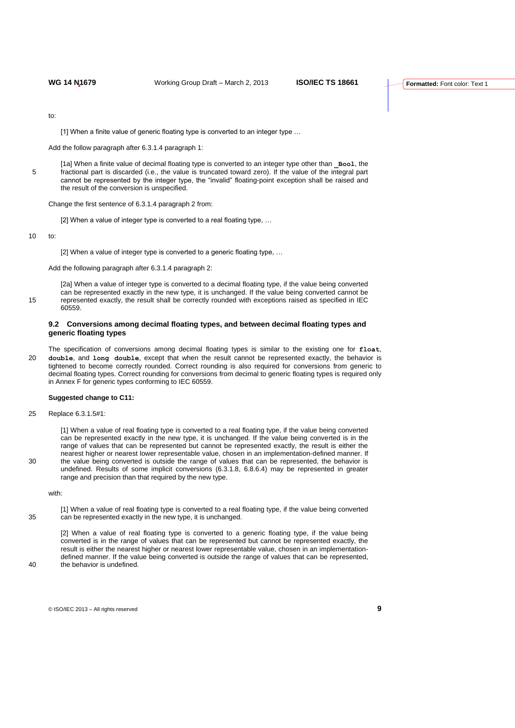to:

[1] When a finite value of generic floating type is converted to an integer type ...

Add the follow paragraph after 6.3.1.4 paragraph 1:

[1a] When a finite value of decimal floating type is converted to an integer type other than **\_Bool**, the 5 fractional part is discarded (i.e., the value is truncated toward zero). If the value of the integral part cannot be represented by the integer type, the "invalid" floating-point exception shall be raised and the result of the conversion is unspecified.

Change the first sentence of 6.3.1.4 paragraph 2 from:

[2] When a value of integer type is converted to a real floating type, ...

10 to:

[2] When a value of integer type is converted to a generic floating type, ...

Add the following paragraph after 6.3.1.4 paragraph 2:

[2a] When a value of integer type is converted to a decimal floating type, if the value being converted can be represented exactly in the new type, it is unchanged. If the value being converted cannot be 15 represented exactly, the result shall be correctly rounded with exceptions raised as specified in IEC 60559.

#### **9.2 Conversions among decimal floating types, and between decimal floating types and generic floating types**

The specification of conversions among decimal floating types is similar to the existing one for **float**, 20 **double**, and **long double**, except that when the result cannot be represented exactly, the behavior is tightened to become correctly rounded. Correct rounding is also required for conversions from generic to decimal floating types. Correct rounding for conversions from decimal to generic floating types is required only in Annex F for generic types conforming to IEC 60559.

#### **Suggested change to C11:**

25 Replace 6.3.1.5#1:

[1] When a value of real floating type is converted to a real floating type, if the value being converted can be represented exactly in the new type, it is unchanged. If the value being converted is in the range of values that can be represented but cannot be represented exactly, the result is either the nearest higher or nearest lower representable value, chosen in an implementation-defined manner. If 30 the value being converted is outside the range of values that can be represented, the behavior is undefined. Results of some implicit conversions (6.3.1.8, 6.8.6.4) may be represented in greater range and precision than that required by the new type.

with:

[1] When a value of real floating type is converted to a real floating type, if the value being converted 35 can be represented exactly in the new type, it is unchanged.

[2] When a value of real floating type is converted to a generic floating type, if the value being converted is in the range of values that can be represented but cannot be represented exactly, the result is either the nearest higher or nearest lower representable value, chosen in an implementationdefined manner. If the value being converted is outside the range of values that can be represented, 40 the behavior is undefined.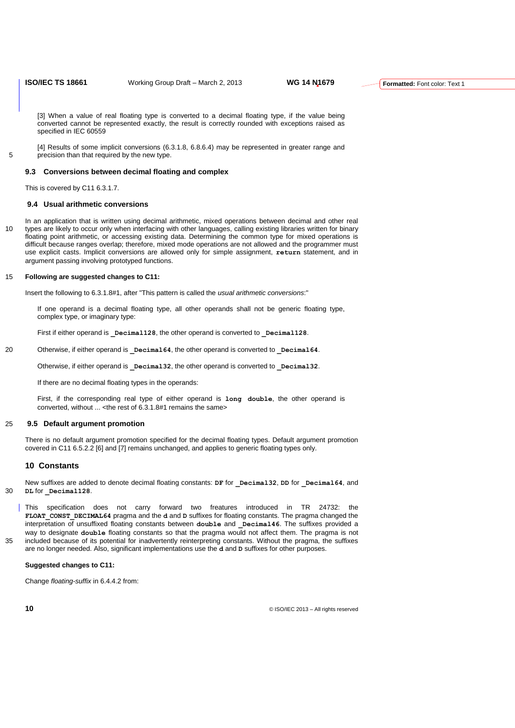[3] When a value of real floating type is converted to a decimal floating type, if the value being converted cannot be represented exactly, the result is correctly rounded with exceptions raised as specified in IEC 60559

[4] Results of some implicit conversions (6.3.1.8, 6.8.6.4) may be represented in greater range and 5 **precision than that required by the new type.** 

#### **9.3 Conversions between decimal floating and complex**

This is covered by C11 6.3.1.7.

## **9.4 Usual arithmetic conversions**

In an application that is written using decimal arithmetic, mixed operations between decimal and other real 10 types are likely to occur only when interfacing with other languages, calling existing libraries written for binary floating point arithmetic, or accessing existing data. Determining the common type for mixed operations is difficult because ranges overlap; therefore, mixed mode operations are not allowed and the programmer must use explicit casts. Implicit conversions are allowed only for simple assignment, **return** statement, and in argument passing involving prototyped functions.

#### 15 **Following are suggested changes to C11:**

Insert the following to 6.3.1.8#1, after "This pattern is called the *usual arithmetic conversions*:"

If one operand is a decimal floating type, all other operands shall not be generic floating type, complex type, or imaginary type:

First if either operand is **Decimal128**, the other operand is converted to **Decimal128**.

20 Otherwise, if either operand is **Decimal64**, the other operand is converted to **Decimal64**.

Otherwise, if either operand is **Decimal32**, the other operand is converted to **Decimal32**.

If there are no decimal floating types in the operands:

First, if the corresponding real type of either operand is **long double**, the other operand is converted, without ... <the rest of 6.3.1.8#1 remains the same>

#### 25 **9.5 Default argument promotion**

There is no default argument promotion specified for the decimal floating types. Default argument promotion covered in C11 6.5.2.2 [6] and [7] remains unchanged, and applies to generic floating types only.

#### **10 Constants**

New suffixes are added to denote decimal floating constants: **DF** for **\_Decimal32**, **DD** for **\_Decimal64**, and 30 **DL** for **\_Decimal128**.

This specification does not carry forward two freatures introduced in TR 24732: the **FLOAT\_CONST\_DECIMAL64** pragma and the **d** and **D** suffixes for floating constants. The pragma changed the interpretation of unsuffixed floating constants between **double** and **Decimal46**. The suffixes provided a way to designate **double** floating constants so that the pragma would not affect them. The pragma is not 35 included because of its potential for inadvertently reinterpreting constants. Without the pragma, the suffixes are no longer needed. Also, significant implementations use the **d** and **D** suffixes for other purposes.

## **Suggested changes to C11:**

Change *floating-suffix* in 6.4.4.2 from: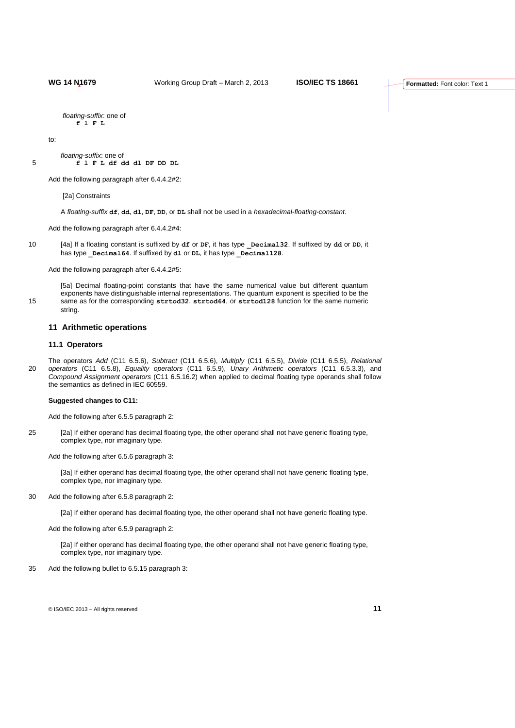*floating-suffix*: one of

**f l F L**

to:

*floating-suffix*: one of 5 **f l F L df dd dl DF DD DL**

Add the following paragraph after 6.4.4.2#2:

[2a] Constraints

A *floating-suffix* **df**, **dd**, **dl**, **DF**, **DD**, or **DL** shall not be used in a *hexadecimal-floating-constant*.

Add the following paragraph after 6.4.4.2#4:

10 [4a] If a floating constant is suffixed by **df** or **DF**, it has type **\_Decimal32**. If suffixed by **dd** or **DD**, it has type **Decimal64**. If suffixed by **dl** or **DL**, it has type **Decimal128**.

Add the following paragraph after 6.4.4.2#5:

[5a] Decimal floating-point constants that have the same numerical value but different quantum exponents have distinguishable internal representations. The quantum exponent is specified to be the 15 same as for the corresponding **strtod32**, **strtod64**, or **strtod128** function for the same numeric string.

#### **11 Arithmetic operations**

## **11.1 Operators**

The operators *Add* (C11 6.5.6), *Subtract* (C11 6.5.6), *Multiply* (C11 6.5.5), *Divide* (C11 6.5.5), *Relational*  20 *operators* (C11 6.5.8), *Equality operators* (C11 6.5.9), *Unary Arithmetic operators* (C11 6.5.3.3), and *Compound Assignment operators* (C11 6.5.16.2) when applied to decimal floating type operands shall follow the semantics as defined in IEC 60559.

#### **Suggested changes to C11:**

Add the following after 6.5.5 paragraph 2:

25 [2a] If either operand has decimal floating type, the other operand shall not have generic floating type, complex type, nor imaginary type.

Add the following after 6.5.6 paragraph 3:

[3a] If either operand has decimal floating type, the other operand shall not have generic floating type, complex type, nor imaginary type.

30 Add the following after 6.5.8 paragraph 2:

[2a] If either operand has decimal floating type, the other operand shall not have generic floating type.

Add the following after 6.5.9 paragraph 2:

[2a] If either operand has decimal floating type, the other operand shall not have generic floating type, complex type, nor imaginary type.

35 Add the following bullet to 6.5.15 paragraph 3: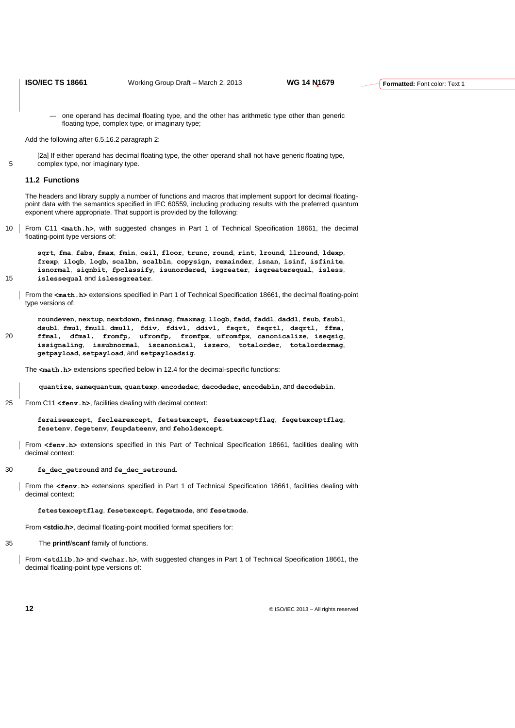— one operand has decimal floating type, and the other has arithmetic type other than generic floating type, complex type, or imaginary type;

Add the following after 6.5.16.2 paragraph 2:

[2a] If either operand has decimal floating type, the other operand shall not have generic floating type, 5 complex type, nor imaginary type.

#### **11.2 Functions**

The headers and library supply a number of functions and macros that implement support for decimal floatingpoint data with the semantics specified in IEC 60559, including producing results with the preferred quantum exponent where appropriate. That support is provided by the following:

10 From C11 **<math.h>**, with suggested changes in Part 1 of Technical Specification 18661, the decimal floating-point type versions of:

**sqrt**, **fma**, **fabs**, **fmax**, **fmin**, **ceil**, **floor**, **trunc**, **round**, **rint**, **lround**, **llround**, **ldexp**, **frexp**, **ilogb**, **logb, scalbn**, **scalbln**, **copysign**, **remainder**, **isnan**, **isinf**, **isfinite**, **isnormal**, **signbit**, **fpclassify**, **isunordered**, **isgreater**, **isgreaterequal**, **isless**, 15 **islessequal** and **islessgreater**.

From the **<math.h>** extensions specified in Part 1 of Technical Specification 18661, the decimal floating-point type versions of:

**roundeven**, **nextup**, **nextdown**, **fminmag**, **fmaxmag**, **llogb**, **fadd**, **faddl**, **daddl**, **fsub**, **fsubl**, **dsubl**, **fmul**, **fmull**, **dmull**, **fdiv**, **fdivl**, **ddivl**, **fsqrt**, **fsqrtl**, **dsqrtl**, **ffma**, 20 **ffmal**, **dfmal**, **fromfp**, **ufromfp**, **fromfpx**, **ufromfpx**, **canonicalize**, **iseqsig**, **issignaling**, **issubnormal**, **iscanonical**, **iszero**, **totalorder**, **totalordermag**, **getpayload**, **setpayload**, and **setpayloadsig**.

The  $\text{4m-th }$ **.** h> extensions specified below in 12.4 for the decimal-specific functions:

**quantize**, **samequantum**, **quantexp**, **encodedec**, **decodedec**, **encodebin**, and **decodebin**.

25 From C11 **<fenv.h>**, facilities dealing with decimal context:

**feraiseexcept**, **feclearexcept**, **fetestexcept**, **fesetexceptflag**, **fegetexceptflag**, **fesetenv**, **fegetenv**, **feupdateenv**, and **feholdexcept**.

From **<fenv.h>** extensions specified in this Part of Technical Specification 18661, facilities dealing with decimal context:

#### 30 **fe\_dec\_getround** and **fe\_dec\_setround**.

From the **<fenv.h>** extensions specified in Part 1 of Technical Specification 18661, facilities dealing with decimal context:

#### **fetestexceptflag**, **fesetexcept**, **fegetmode**, and **fesetmode**.

From **<stdio.h>**, decimal floating-point modified format specifiers for:

35 The **printf**/**scanf** family of functions.

From **<stdlib.h>** and **<wchar.h>**, with suggested changes in Part 1 of Technical Specification 18661, the decimal floating-point type versions of: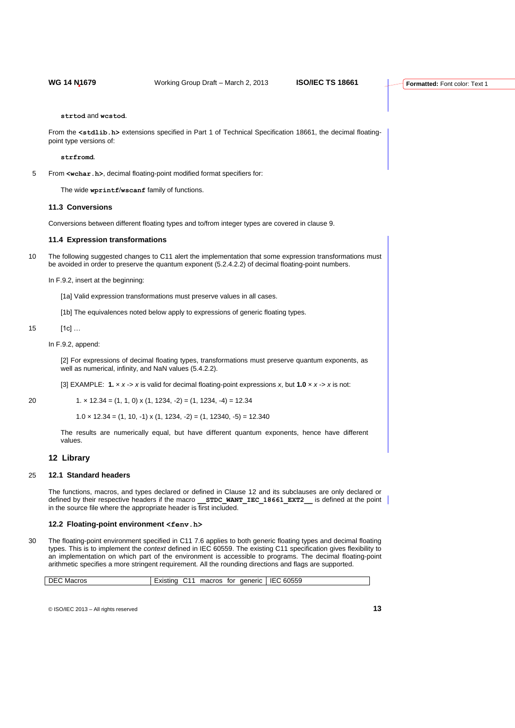**strtod** and **wcstod**.

From the **<stdlib.h>** extensions specified in Part 1 of Technical Specification 18661, the decimal floatingpoint type versions of:

**strfromd**.

5 From **<wchar.h>**, decimal floating-point modified format specifiers for:

The wide **wprintf**/**wscanf** family of functions.

#### **11.3 Conversions**

Conversions between different floating types and to/from integer types are covered in clause 9.

## **11.4 Expression transformations**

10 The following suggested changes to C11 alert the implementation that some expression transformations must be avoided in order to preserve the quantum exponent (5.2.4.2.2) of decimal floating-point numbers.

In F.9.2, insert at the beginning:

[1a] Valid expression transformations must preserve values in all cases.

[1b] The equivalences noted below apply to expressions of generic floating types.

15 [1c]

In F.9.2, append:

[2] For expressions of decimal floating types, transformations must preserve quantum exponents, as well as numerical, infinity, and NaN values (5.4.2.2).

[3] EXAMPLE: **1.** × *x* -> *x* is valid for decimal floating-point expressions *x*, but **1.0** × *x* -> *x* is not:

| $1. \times 12.34 = (1, 1, 0) \times (1, 1234, -2) = (1, 1234, -4) = 12.34$<br>20 |  |  |  |  |  |  |
|----------------------------------------------------------------------------------|--|--|--|--|--|--|
|----------------------------------------------------------------------------------|--|--|--|--|--|--|

 $1.0 \times 12.34 = (1, 10, -1) \times (1, 1234, -2) = (1, 12340, -5) = 12.340$ 

The results are numerically equal, but have different quantum exponents, hence have different values.

## **12 Library**

#### 25 **12.1 Standard headers**

The functions, macros, and types declared or defined in Clause 12 and its subclauses are only declared or defined by their respective headers if the macro **STDC WANT IEC 18661 EXT2** is defined at the point in the source file where the appropriate header is first included.

## **12.2 Floating-point environment <fenv.h>**

30 The floating-point environment specified in C11 7.6 applies to both generic floating types and decimal floating types. This is to implement the *context* defined in IEC 60559. The existing C11 specification gives flexibility to an implementation on which part of the environment is accessible to programs. The decimal floating-point arithmetic specifies a more stringent requirement. All the rounding directions and flags are supported.

| 60559<br>macros<br>aeneric<br>IF(<br>tor<br>Macros<br>'⊣ט<br>±xistino<br>. |
|----------------------------------------------------------------------------|
|----------------------------------------------------------------------------|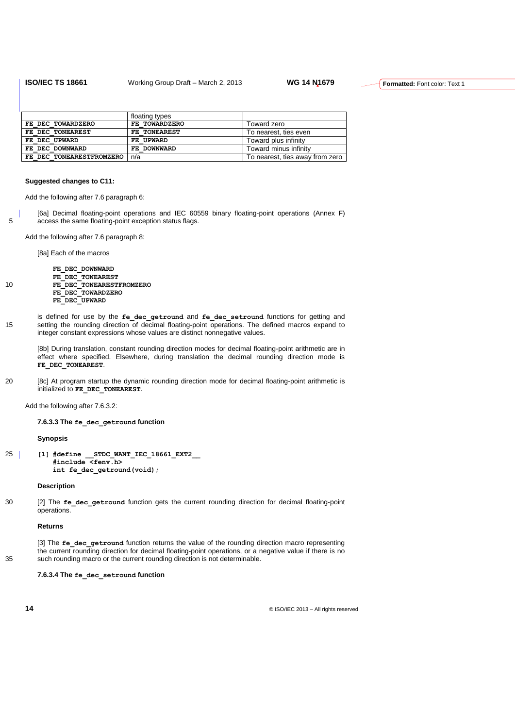|                          | floating types |                                 |
|--------------------------|----------------|---------------------------------|
| FE DEC TOWARDZERO        | FE TOWARDZERO  | Toward zero                     |
| FE DEC TONEAREST         | FE TONEAREST   | To nearest, ties even           |
| FE DEC UPWARD            | FE UPWARD      | Toward plus infinity            |
| FE DEC DOWNWARD          | FE DOWNWARD    | Toward minus infinity           |
| FE DEC TONEARESTFROMZERO | n/a            | To nearest, ties away from zero |

#### **Suggested changes to C11:**

Add the following after 7.6 paragraph 6:

[6a] Decimal floating-point operations and IEC 60559 binary floating-point operations (Annex F) 5 access the same floating-point exception status flags.

Add the following after 7.6 paragraph 8:

[8a] Each of the macros

**FE\_DEC\_DOWNWARD FE\_DEC\_TONEAREST** 10 **FE\_DEC\_TONEARESTFROMZERO FE\_DEC\_TOWARDZERO FE\_DEC\_UPWARD**

is defined for use by the **fe\_dec\_getround** and **fe\_dec\_setround** functions for getting and 15 setting the rounding direction of decimal floating-point operations. The defined macros expand to integer constant expressions whose values are distinct nonnegative values.

[8b] During translation, constant rounding direction modes for decimal floating-point arithmetic are in effect where specified. Elsewhere, during translation the decimal rounding direction mode is FE\_DEC\_TONEAREST.

20 [8c] At program startup the dynamic rounding direction mode for decimal floating-point arithmetic is initialized to **FE\_DEC\_TONEAREST**.

Add the following after 7.6.3.2:

**7.6.3.3 The fe\_dec\_getround function**

**Synopsis**

25 **[1] #define \_\_STDC\_WANT\_IEC\_18661\_EXT2\_\_ #include <fenv.h> int fe\_dec\_getround(void);**

### **Description**

30 [2] The **fe\_dec\_getround** function gets the current rounding direction for decimal floating-point operations.

#### **Returns**

[3] The **fe\_dec\_getround** function returns the value of the rounding direction macro representing the current rounding direction for decimal floating-point operations, or a negative value if there is no 35 such rounding macro or the current rounding direction is not determinable.

**7.6.3.4 The fe\_dec\_setround function**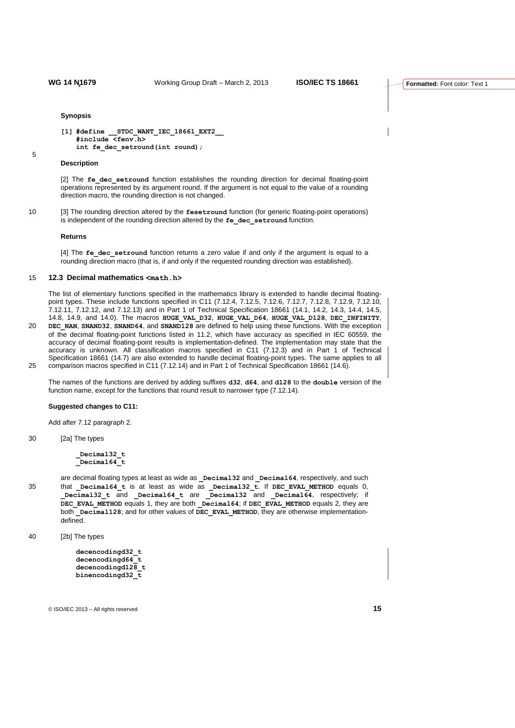```
Synopsis
```

```
[1] #define __STDC_WANT_IEC_18661_EXT2__
   #include <fenv.h>
   int fe_dec_setround(int round);
```
5

#### **Description**

[2] The fe dec setround function establishes the rounding direction for decimal floating-point operations represented by its argument round. If the argument is not equal to the value of a rounding direction macro, the rounding direction is not changed.

10 [3] The rounding direction altered by the **fesetround** function (for generic floating-point operations) is independent of the rounding direction altered by the fe\_dec\_setround function.

#### **Returns**

[4] The **fe\_dec\_setround** function returns a zero value if and only if the argument is equal to a rounding direction macro (that is, if and only if the requested rounding direction was established).

## 15 **12.3 Decimal mathematics <math.h>**

The list of elementary functions specified in the mathematics library is extended to handle decimal floatingpoint types. These include functions specified in C11 (7.12.4, 7.12.5, 7.12.6, 7.12.7, 7.12.8, 7.12.9, 7.12.10, 7.12.11, 7.12.12, and 7.12.13) and in Part 1 of Technical Specification 18661 (14.1, 14.2, 14.3, 14.4, 14.5, 14.8, 14.9, and 14.0). The macros **HUGE\_VAL\_D32**, **HUGE\_VAL\_D64**, **HUGE\_VAL\_D128**, **DEC\_INFINITY**, 20 **DEC\_NAN**, **SNAND32**, **SNAND64**, and **SNAND128** are defined to help using these functions. With the exception

of the decimal floating-point functions listed in 11.2, which have accuracy as specified in IEC 60559, the accuracy of decimal floating-point results is implementation-defined. The implementation may state that the accuracy is unknown. All classification macros specified in C11 (7.12.3) and in Part 1 of Technical Specification 18661 (14.7) are also extended to handle decimal floating-point types. The same applies to all 25 comparison macros specified in C11 (7.12.14) and in Part 1 of Technical Specification 18661 (14.6).

The names of the functions are derived by adding suffixes **d32**, **d64**, and **d128** to the **double** version of the function name, except for the functions that round result to narrower type (7.12.14).

#### **Suggested changes to C11:**

Add after 7.12 paragraph 2.

30 [2a] The types

**\_Decimal32\_t \_Decimal64\_t**

are decimal floating types at least as wide as **Decimal32** and **Decimal64**, respectively, and such 35 that **\_Decimal64\_t** is at least as wide as **\_Decimal32\_t**. If **DEC\_EVAL\_METHOD** equals 0, **\_Decimal32\_t** and **\_Decimal64\_t** are **\_Decimal32** and **\_Decimal64**, respectively; if **DEC\_EVAL\_METHOD** equals 1, they are both **\_Decimal64**; if **DEC\_EVAL\_METHOD** equals 2, they are both **Decimal128**; and for other values of **DEC** EVAL METHOD, they are otherwise implementationdefined.

40 [2b] The types

```
decencodingd32_t
decencodingd64_t
decencodingd128_t
binencodingd32_t
```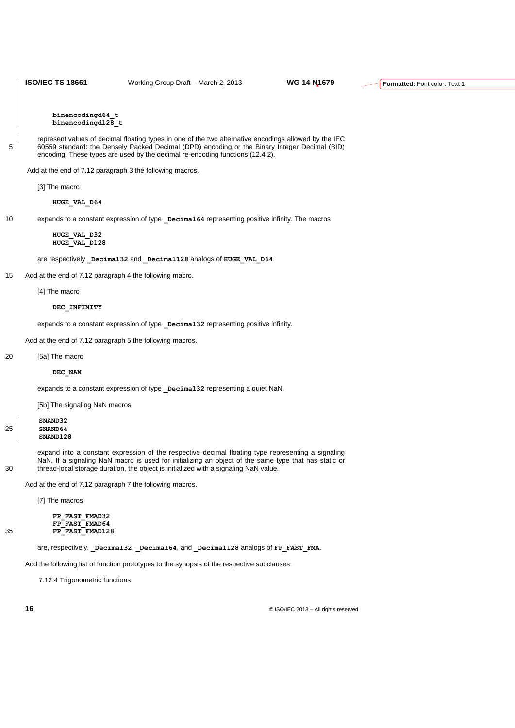**binencodingd64\_t binencodingd128\_t**

represent values of decimal floating types in one of the two alternative encodings allowed by the IEC 5 60559 standard: the Densely Packed Decimal (DPD) encoding or the Binary Integer Decimal (BID) encoding. These types are used by the decimal re-encoding functions (12.4.2).

Add at the end of 7.12 paragraph 3 the following macros.

[3] The macro

**HUGE\_VAL\_D64**

10 expands to a constant expression of type **\_Decimal64** representing positive infinity. The macros

### **HUGE\_VAL\_D32 HUGE\_VAL\_D128**

are respectively **Decimal32** and **Decimal128** analogs of **HUGE** VAL D64.

15 Add at the end of 7.12 paragraph 4 the following macro.

[4] The macro

#### **DEC\_INFINITY**

expands to a constant expression of type **\_Decimal32** representing positive infinity.

Add at the end of 7.12 paragraph 5 the following macros.

20 [5a] The macro

#### **DEC\_NAN**

expands to a constant expression of type **Decimal32** representing a quiet NaN.

[5b] The signaling NaN macros

**SNAND32** 25 **SNAND64 SNAND128**

expand into a constant expression of the respective decimal floating type representing a signaling NaN. If a signaling NaN macro is used for initializing an object of the same type that has static or 30 thread-local storage duration, the object is initialized with a signaling NaN value.

Add at the end of 7.12 paragraph 7 the following macros.

[7] The macros

**FP\_FAST\_FMAD32 FP\_FAST\_FMAD64** 35 **FP\_FAST\_FMAD128**

are, respectively, **\_Decimal32**, **\_Decimal64**, and **\_Decimal128** analogs of **FP\_FAST\_FMA**.

Add the following list of function prototypes to the synopsis of the respective subclauses:

7.12.4 Trigonometric functions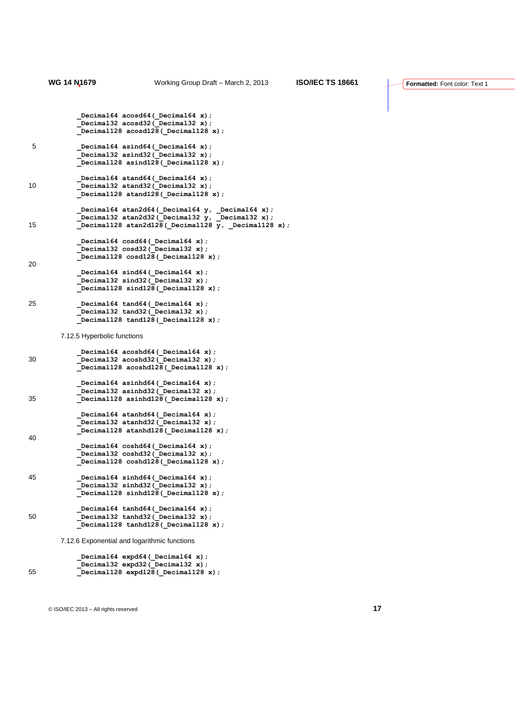```
Decimal64 acosd64( Decimal64 x);
            _Decimal32 acosd32(_Decimal32 x);
            _Decimal128 acosd128(_Decimal128 x);
5 _Decimal64 asind64(_Decimal64 x);
             _Decimal32 asind32(_Decimal32 x);
            _Decimal128 asind128(_Decimal128 x);
           Decimal64 atand64 ( Decimal64 x);
10 _Decimal32 atand32(_Decimal32 x);
            _Decimal128 atand128(_Decimal128 x);
            _Decimal64 atan2d64(_Decimal64 y, _Decimal64 x);
     Decimal32 atan2d32(Decimal32 y, Decimal32 x);
15 _Decimal128 atan2d128(_Decimal128 y, _Decimal128 x);
            _Decimal64 cosd64(_Decimal64 x);
            _Decimal32 cosd32(_Decimal32 x);
            _Decimal128 cosd128(_Decimal128 x);
20
     Decimal64 sind64(Decimal64 x);
     Decimal32 sind32( Decimal32 x);
            _Decimal128 sind128(_Decimal128 x);
25 _Decimal64 tand64(_Decimal64 x);
            _Decimal32 tand32(_Decimal32 x);
            _Decimal128 tand128(_Decimal128 x);
       7.12.5 Hyperbolic functions
            _Decimal64 acoshd64(_Decimal64 x);
30 _Decimal32 acoshd32(_Decimal32 x);
      _Decimal128 acoshd128(_Decimal128 x);
             _Decimal64 asinhd64(_Decimal64 x);
            _Decimal32 asinhd32(_Decimal32 x);
35 _Decimal128 asinhd128(_Decimal128 x);
            _Decimal64 atanhd64(_Decimal64 x);
     Decimal32 atanhd32(Decimal32 x);
      _Decimal128 atanhd128(_Decimal128 x);
40Decimal64 coshd64 ( Decimal64 x);
            _Decimal32 coshd32(_Decimal32 x);
            _Decimal128 coshd128(_Decimal128 x);
45 _Decimal64 sinhd64(_Decimal64 x);
             _Decimal32 sinhd32(_Decimal32 x);
            _Decimal128 sinhd128(_Decimal128 x);
            Decimal64 tanhd64 ( Decimal64 x);
50 _Decimal32 tanhd32(_Decimal32 x);
            _Decimal128 tanhd128(_Decimal128 x);
       7.12.6 Exponential and logarithmic functions
```
 **\_Decimal64 expd64(\_Decimal64 x); \_Decimal32 expd32(\_Decimal32 x);** 55 **Decimal128 expd128 (Decimal128 x)**;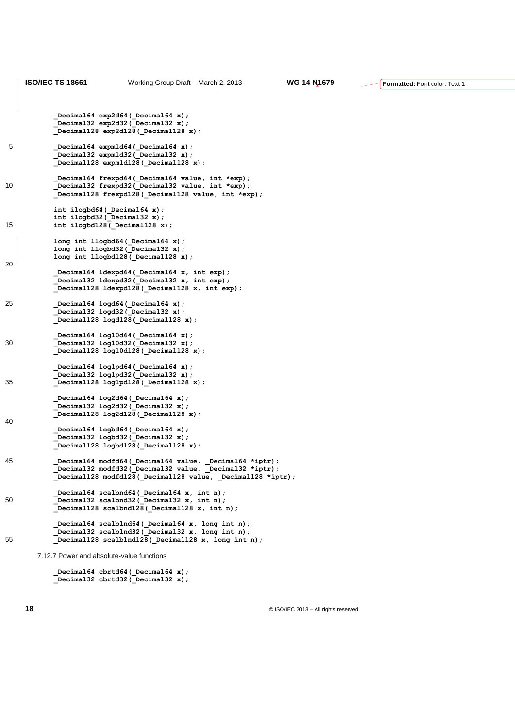```
ISO/IEC TS 18661 Working Group Draft – March 2, 2013 WG 14 N1679
           Decimal64 exp2d64( Decimal64 x);
            _Decimal32 exp2d32(_Decimal32 x);
            _Decimal128 exp2d128(_Decimal128 x);
5 _Decimal64 expm1d64(_Decimal64 x);
             _Decimal32 expm1d32(_Decimal32 x);
           \overline{\phantom{a}}Decimal128 expm1d128 (Decimal128 x);
            Decimal64 frexpd64( Decimal64 value, int *exp);
10 Decimal32 frexpd32(Decimal32 value, int *exp);
             _Decimal128 frexpd128(_Decimal128 value, int *exp);
            int ilogbd64(_Decimal64 x);
           int ilogbd32(Decimal32 x);
15 int ilogbd128(_Decimal128 x);
            long int llogbd64(_Decimal64 x);
            long int llogbd32(_Decimal32 x);
            long int llogbd128(_Decimal128 x);
20
      _Decimal64 ldexpd64(_Decimal64 x, int exp); 
     Decimal32 ldexpd32( Decimal32 x, int exp);
            _Decimal128 ldexpd128(_Decimal128 x, int exp);
25 _Decimal64 logd64(_Decimal64 x);
            Decimal32 logd32 (Decimal32 x);
             _Decimal128 logd128(_Decimal128 x);
      _Decimal64 log10d64(_Decimal64 x);
30 _Decimal32 log10d32(_Decimal32 x);
            _Decimal128 log10d128(_Decimal128 x);
            Decimal64 log1pd64( Decimal64 x);
             _Decimal32 log1pd32(_Decimal32 x);
35 _Decimal128 log1pd128(_Decimal128 x);
     Decimal64 log2d64( Decimal64 x);
      _Decimal32 log2d32(_Decimal32 x);
            _Decimal128 log2d128(_Decimal128 x);
40
            _Decimal64 logbd64(_Decimal64 x);
            _Decimal32 logbd32(_Decimal32 x);
            _Decimal128 logbd128(_Decimal128 x);
45 _Decimal64 modfd64(_Decimal64 value, _Decimal64 *iptr);
     Decimal32 modfd32( Decimal32 value, Decimal32 *iptr);
            _Decimal128 modfd128(_Decimal128 value, _Decimal128 *iptr);
            _Decimal64 scalbnd64(_Decimal64 x, int n);
50 _Decimal32 scalbnd32(_Decimal32 x, int n);
             _Decimal128 scalbnd128(_Decimal128 x, int n);
            Decimal64 scalblnd64(Decimal64 x, long int n);
            _Decimal32 scalblnd32(_Decimal32 x, long int n);
55 _Decimal128 scalblnd128(_Decimal128 x, long int n);
       7.12.7 Power and absolute-value functions
```
Decimal64 cbrtd64( Decimal64 x);  **\_Decimal32 cbrtd32(\_Decimal32 x);** **Formatted:** Font color: Text 1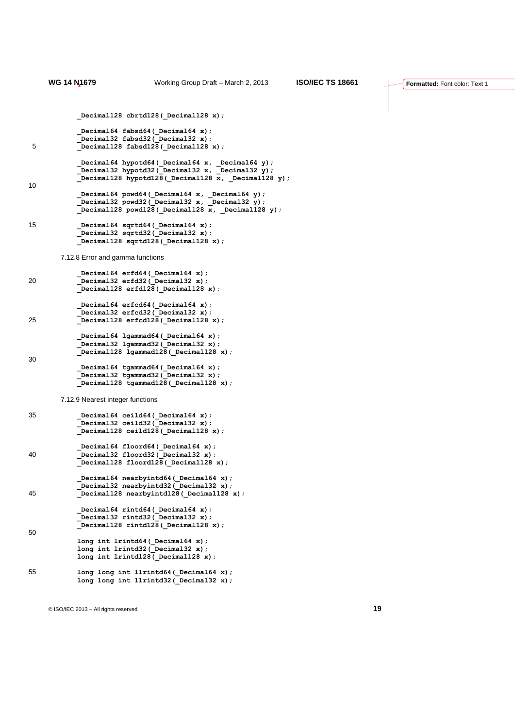```
Decimal128 cbrtd128(Decimal128 x);
     Decimal64 fabsd64( Decimal64 x);
     Decimal32 fabsd32( Decimal32 x);
5 _Decimal128 fabsd128(_Decimal128 x);
             _Decimal64 hypotd64(_Decimal64 x, _Decimal64 y);
     Decimal32 hypotd32( Decimal32 x, Decimal32 y);
     Decimal128 hypotd128(Decimal128 x, Decimal128 y);
10
     Decimal64 powd64( Decimal64 x, Decimal64 y);
     Decimal32 powd32( Decimal32 x, Decimal32 y);
     Decimal128 powd128( Decimal128 x, Decimal128 y);
15 _Decimal64 sqrtd64(_Decimal64 x);
             _Decimal32 sqrtd32(_Decimal32 x);
            _Decimal128 sqrtd128(_Decimal128 x);
       7.12.8 Error and gamma functions
            _Decimal64 erfd64(_Decimal64 x);
20 _Decimal32 erfd32(_Decimal32 x);
            _Decimal128 erfd128(_Decimal128 x);
            _Decimal64 erfcd64(_Decimal64 x);
           Decimal32 erfcd32(Decimal32 x);
25 _Decimal128 erfcd128(_Decimal128 x);
            _Decimal64 lgammad64(_Decimal64 x);
             _Decimal32 lgammad32(_Decimal32 x);
           \overline{\phantom{a}}Decimal128 lgammad128 (Decimal128 x);
30
             _Decimal64 tgammad64(_Decimal64 x);
            _Decimal32 tgammad32(_Decimal32 x);
             _Decimal128 tgammad128(_Decimal128 x);
       7.12.9 Nearest integer functions
35 _Decimal64 ceild64(_Decimal64 x);
            _Decimal32 ceild32(_Decimal32 x);
             _Decimal128 ceild128(_Decimal128 x);
            _Decimal64 floord64(_Decimal64 x);
40 _Decimal32 floord32(_Decimal32 x);
            _Decimal128 floord128(_Decimal128 x);
            _Decimal64 nearbyintd64(_Decimal64 x);
            _Decimal32 nearbyintd32(_Decimal32 x);
45 _Decimal128 nearbyintd128(_Decimal128 x);
            Decimal64 rintd64(Decimal64 x);
            _Decimal32 rintd32(_Decimal32 x);
           \overline{\phantom{a}}Decimal128 rintd128 (Decimal128 x);
50
            long int lrintd64(_Decimal64 x);
            long int lrintd32(_Decimal32 x);
            long int lrintd128(_Decimal128 x);
55 long long int llrintd64 (Decimal64 x);
            long long int llrintd32(_Decimal32 x);
```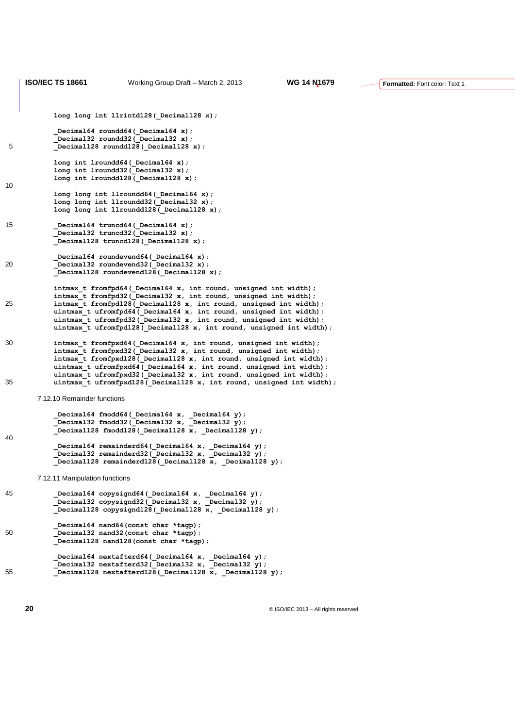```
Formatted: Font color: Text 1
           long long int llrintd128( Decimal128 x);
     Decimal64 roundd64( Decimal64 x);
     Decimal32 roundd32( Decimal32 x);
5 _Decimal128 roundd128(_Decimal128 x);
            long int lroundd64(_Decimal64 x);
            long int lroundd32(_Decimal32 x);
            long int lroundd128(_Decimal128 x);
10
           long long int llroundd64( Decimal64 x);
           long long int llroundd32 (Decimal32 x);
            long long int llroundd128(_Decimal128 x);
15 _Decimal64 truncd64(_Decimal64 x);
            Decimal32 truncd32(Decimal32 x);
            _Decimal128 truncd128(_Decimal128 x);
           Decimal64 roundevend64( Decimal64 x);
20 Decimal32 roundevend32 (Decimal32 x);
            _Decimal128 roundevend128(_Decimal128 x);
            intmax_t fromfpd64(_Decimal64 x, int round, unsigned int width);
            intmax_t fromfpd32(_Decimal32 x, int round, unsigned int width);
25 intmax_t fromfpd128(_Decimal128 x, int round, unsigned int width);
      uintmax_t ufromfpd64(_Decimal64 x, int round, unsigned int width);
      uintmax_t ufromfpd32(_Decimal32 x, int round, unsigned int width);
            uintmax_t ufromfpd128(_Decimal128 x, int round, unsigned int width);
30 intmax_t fromfpxd64(_Decimal64 x, int round, unsigned int width);
            intmax_t fromfpxd32(_Decimal32 x, int round, unsigned int width);
           intmax<sup>-</sup>t fromfpxd128( Decimal128 x, int round, unsigned int width);
            uintmax_t ufromfpxd64(_Decimal64 x, int round, unsigned int width);
           uintmax t ufromfpxd32(_Decimal32 x, int round, unsigned int width);
35 uintmax t ufromfpxd128( Decimal128 x, int round, unsigned int width);
       7.12.10 Remainder functions
     Decimal64 fmodd64( Decimal64 x, Decimal64 y);
     Decimal32 fmodd32(Decimal32 x, Decimal32 y);
     Decimal128 fmodd128(Decimal128 x, Decimal128 y);
40 _Decimal64 remainderd64(_Decimal64 x, _Decimal64 y);
            _Decimal32 remainderd32(_Decimal32 x, _Decimal32 y);
            _Decimal128 remainderd128(_Decimal128 x, _Decimal128 y);
       7.12.11 Manipulation functions
45 _Decimal64 copysignd64(_Decimal64 x, _Decimal64 y);
            _Decimal32 copysignd32(_Decimal32 x, _Decimal32 y);
            _Decimal128 copysignd128(_Decimal128 x, _Decimal128 y);
            _Decimal64 nand64(const char *tagp);
50 _Decimal32 nand32(const char *tagp);
            _Decimal128 nand128(const char *tagp);
            Decimal64 nextafterd64(_Decimal64 x, _Decimal64 y);
             _Decimal32 nextafterd32(_Decimal32 x, _Decimal32 y);
55 Decimal128 nextafterd128 (Decimal128 x, Decimal128 y);
```
**ISO/IEC TS 18661** Working Group Draft – March 2, 2013 **WG 14 N1679**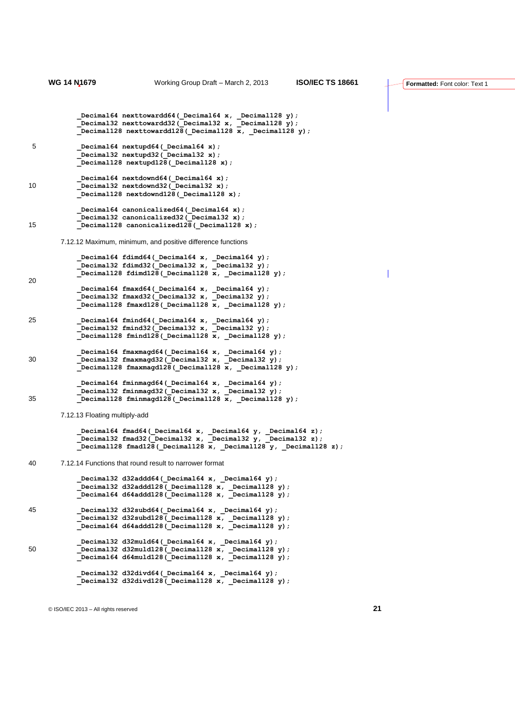```
 _Decimal64 nexttowardd64(_Decimal64 x, _Decimal128 y);
            _Decimal32 nexttowardd32(_Decimal32 x, _Decimal128 y);
            _Decimal128 nexttowardd128(_Decimal128 x, _Decimal128 y);
5 _Decimal64 nextupd64(_Decimal64 x);
            _Decimal32 nextupd32(_Decimal32 x);
          Decimal128 nextupd128 (Decimal128 x);
           Decimal64 nextdownd64( Decimal64 x);
10 Decimal32 nextdownd32 (Decimal32 x);
            _Decimal128 nextdownd128(_Decimal128 x);
           _Decimal64 canonicalized64(_Decimal64 x);
           Decimal32 canonicalized32 (Decimal32 x);
15 Decimal128 canonicalized128 (Decimal128 x);
       7.12.12 Maximum, minimum, and positive difference functions
           _Decimal64 fdimd64(_Decimal64 x, _Decimal64 y);
    Decimal32 fdimd32(Decimal32 x, Decimal32 y);
    Decimal128 fdimd128(Decimal128 x, Decimal128 y);
20
            _Decimal64 fmaxd64(_Decimal64 x, _Decimal64 y);
    Decimal32 fmaxd32(Decimal32 x, Decimal32 y);
    Decimal128 fmaxd128(Decimal128 x, Decimal128 y);
25 Decimal64 fmind64(Decimal64 x, Decimal64 y);
    Decimal32 fmind32(Decimal32 x, Decimal32 y);
          \overline{\phantom{a}}Decimal128 fmind128 (Decimal128 x, Decimal128 y);
            _Decimal64 fmaxmagd64(_Decimal64 x, _Decimal64 y);
30 _Decimal32 fmaxmagd32(_Decimal32 x, _Decimal32 y);
    Decimal128 fmaxmagd128( Decimal128 x, Decimal128 y);
    Decimal64 fminmagd64( Decimal64 x, Decimal64 y);
    Decimal32 fminmagd32(Decimal32 x, Decimal32 y);
35 _Decimal128 fminmagd128(_Decimal128 x, _Decimal128 y);
       7.12.13 Floating multiply-add
    Decimal64 fmad64( Decimal64 x, Decimal64 y, Decimal64 z);
    Decimal32 fmad32( Decimal32 x, Decimal32 y, Decimal32 z);
            _Decimal128 fmad128(_Decimal128 x, _Decimal128 y, _Decimal128 z);
40 7.12.14 Functions that round result to narrower format
           Decimal32 d32addd64(_Decimal64 x, _Decimal64 y);
    Decimal32 d32addd128(Decimal128 x, Decimal128 y);
    Decimal64 d64addd128(Decimal128 x, Decimal128 y);
45 _Decimal32 d32subd64(_Decimal64 x, _Decimal64 y);
    Decimal32 d32subd128(Decimal128 x, Decimal128 y);
    Decimal64 d64addd128(Decimal128 x, Decimal128 y);
           _Decimal32 d32muld64(_Decimal64 x, _Decimal64 y);
50 _Decimal32 d32muld128(_Decimal128 x, _Decimal128 y);
    Decimal64 d64muld128( Decimal128 x, Decimal128 y);
    Decimal32 d32divd64( Decimal64 x, Decimal64 y);
    Decimal32 d32divd128(Decimal128 x, Decimal128 y);
```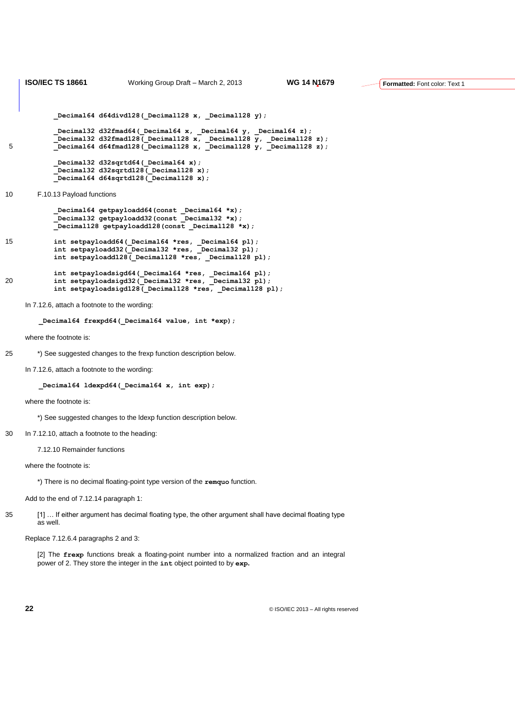```
ISO/IEC TS 18661 Working Group Draft – March 2, 2013 WG 14 N1679
          Decimal64 d64divd128(Decimal128 x, Decimal128 y);
    Decimal32 d32fmad64( Decimal64 x, Decimal64 y, Decimal64 z);
    Decimal32 d32fmad128( Decimal128 x, Decimal128 y, Decimal128 z);
5 _Decimal64 d64fmad128(_Decimal128 x, _Decimal128 y, _Decimal128 z);
          Decimal32 d32sqrtd64( Decimal64 x);
     _Decimal32 d32sqrtd128(_Decimal128 x);
     _Decimal64 d64sqrtd128(_Decimal128 x);
10 F.10.13 Payload functions
    Decimal64 getpayloadd64(const Decimal64 *x);
    Decimal32 getpayloadd32(const Decimal32 *x);
    Decimal128 getpayloadd128(const Decimal128 *x);
15 int setpayloadd64(_Decimal64 *res, _Decimal64 pl);
          int setpayloadd32(Decimal32 *res, Decimal32 pl);
          int setpayloadd128(Decimal128 *res, Decimal128 pl);
    int setpayloadsigd64( Decimal64 *res, Decimal64 pl);
20 int setpayloadsigd32(_Decimal32 *res, _Decimal32 pl);
    int setpayloadsigd128( Decimal128 *res, Decimal128 pl);
```
In 7.12.6, attach a footnote to the wording:

**\_Decimal64 frexpd64(\_Decimal64 value, int \*exp);**

where the footnote is:

25 \*) See suggested changes to the frexp function description below.

In 7.12.6, attach a footnote to the wording:

Decimal64 ldexpd64( Decimal64 x, int exp);

where the footnote is:

\*) See suggested changes to the ldexp function description below.

#### 30 In 7.12.10, attach a footnote to the heading:

7.12.10 Remainder functions

where the footnote is:

\*) There is no decimal floating-point type version of the **remquo** function.

Add to the end of 7.12.14 paragraph 1:

35 [1] … If either argument has decimal floating type, the other argument shall have decimal floating type as well.

Replace 7.12.6.4 paragraphs 2 and 3:

[2] The **frexp** functions break a floating-point number into a normalized fraction and an integral power of 2. They store the integer in the **int** object pointed to by **exp.**

**22** © ISO/IEC 2013 – All rights reserved

**Formatted:** Font color: Text 1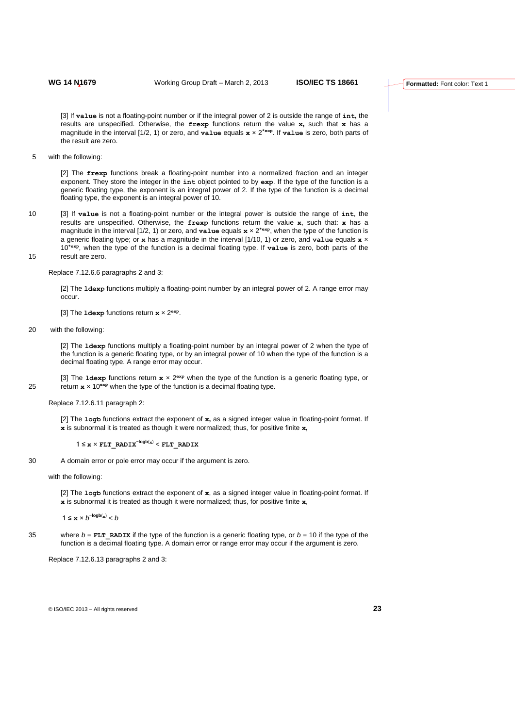[3] If **value** is not a floating-point number or if the integral power of 2 is outside the range of **int,** the results are unspecified. Otherwise, the **frexp** functions return the value **x,** such that **x** has a magnitude in the interval [1/2, 1) or zero, and **value** equals **x** × 2**\*exp**. If **value** is zero, both parts of the result are zero.

5 with the following:

[2] The **frexp** functions break a floating-point number into a normalized fraction and an integer exponent. They store the integer in the **int** object pointed to by **exp**. If the type of the function is a generic floating type, the exponent is an integral power of 2. If the type of the function is a decimal floating type, the exponent is an integral power of 10.

10 [3] If **value** is not a floating-point number or the integral power is outside the range of **int**, the results are unspecified. Otherwise, the **frexp** functions return the value **x**, such that: **x** has a magnitude in the interval [1/2, 1) or zero, and **value** equals **x** × 2**\*exp**, when the type of the function is a generic floating type; or **x** has a magnitude in the interval [1/10, 1) or zero, and **value** equals **x** × 10**\*exp**, when the type of the function is a decimal floating type. If **value** is zero, both parts of the 15 result are zero.

Replace 7.12.6.6 paragraphs 2 and 3:

[2] The **ldexp** functions multiply a floating-point number by an integral power of 2. A range error may occur.

[3] The **ldexp** functions return **x** × 2**exp** .

20 with the following:

[2] The **ldexp** functions multiply a floating-point number by an integral power of 2 when the type of the function is a generic floating type, or by an integral power of 10 when the type of the function is a decimal floating type. A range error may occur.

[3] The **ldexp** functions return  $x \times 2^{\exp}$  when the type of the function is a generic floating type, or 25 return  $x \times 10^{exp}$  when the type of the function is a decimal floating type.

Replace 7.12.6.11 paragraph 2:

[2] The **logb** functions extract the exponent of **x,** as a signed integer value in floating-point format. If **x** is subnormal it is treated as though it were normalized; thus, for positive finite **x,**

1 ≤ **x** × **FLT\_RADIX**<sup>−</sup>**logb**(**x**) < **FLT\_RADIX**

30 A domain error or pole error may occur if the argument is zero.

#### with the following:

[2] The **logb** functions extract the exponent of **x**, as a signed integer value in floating-point format. If **x** is subnormal it is treated as though it were normalized; thus, for positive finite **x**,

1 ≤ **x** ×  $b^{-\log b(x)}$  < *b* 

35 where  $b = FLT$  RADIX if the type of the function is a generic floating type, or  $b = 10$  if the type of the function is a decimal floating type. A domain error or range error may occur if the argument is zero.

Replace 7.12.6.13 paragraphs 2 and 3: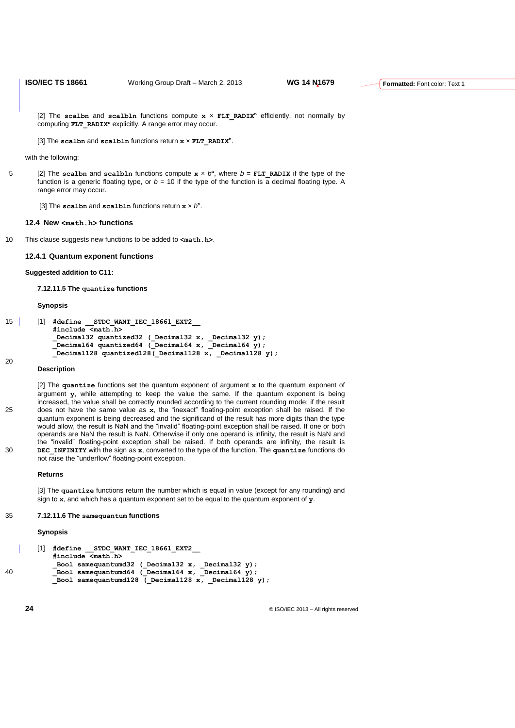[2] The scalbn and scalbln functions compute  $x \times FLT$  RADIX<sup>n</sup> efficiently, not normally by computing **FLT\_RADIX<sup>n</sup>** explicitly. A range error may occur.

[3] The **scalbn** and **scalbln** functions return **x** × **FLT\_RADIX<sup>n</sup>** .

with the following:

5 [2] The scalbn and scalbln functions compute  $x \times b^n$ , where  $b = FLT$  RADIX if the type of the function is a generic floating type, or  $b = 10$  if the type of the function is a decimal floating type. A range error may occur.

[3] The scalbn and scalbln functions return  $x \times b^n$ .

### **12.4 New <math.h> functions**

10 This clause suggests new functions to be added to **<math.h>**.

#### **12.4.1 Quantum exponent functions**

**Suggested addition to C11:**

**7.12.11.5 The quantize functions**

#### **Synopsis**

```
15 [1] #define __STDC_WANT_IEC_18661_EXT2__
           #include <math.h>
           _Decimal32 quantized32 (_Decimal32 x, _Decimal32 y);
           _Decimal64 quantized64 (_Decimal64 x, _Decimal64 y);
           _Decimal128 quantized128(_Decimal128 x, _Decimal128 y); 
20
```
#### **Description**

[2] The **quantize** functions set the quantum exponent of argument **x** to the quantum exponent of argument **y**, while attempting to keep the value the same*.* If the quantum exponent is being increased, the value shall be correctly rounded according to the current rounding mode; if the result 25 does not have the same value as **x**, the "inexact" floating-point exception shall be raised. If the quantum exponent is being decreased and the significand of the result has more digits than the type would allow, the result is NaN and the "invalid" floating-point exception shall be raised. If one or both operands are NaN the result is NaN. Otherwise if only one operand is infinity, the result is NaN and the "invalid" floating-point exception shall be raised. If both operands are infinity, the result is 30 **DEC\_INFINITY** with the sign as **x**, converted to the type of the function. The **quantize** functions do not raise the "underflow" floating-point exception.

#### **Returns**

[3] The **quantize** functions return the number which is equal in value (except for any rounding) and sign to **x**, and which has a quantum exponent set to be equal to the quantum exponent of **y**.

#### 35 **7.12.11.6 The samequantum functions**

#### **Synopsis**

```
[1] #define __STDC_WANT_IEC_18661_EXT2__
           #include <math.h>
           Bool samequantumd32 ( Decimal32 x, Decimal32 y);
40 Bool samequantumd64 (Decimal64 x, Decimal64 y);
          _Bool samequantumd128 (_Decimal128 x, _Decimal128 y);
```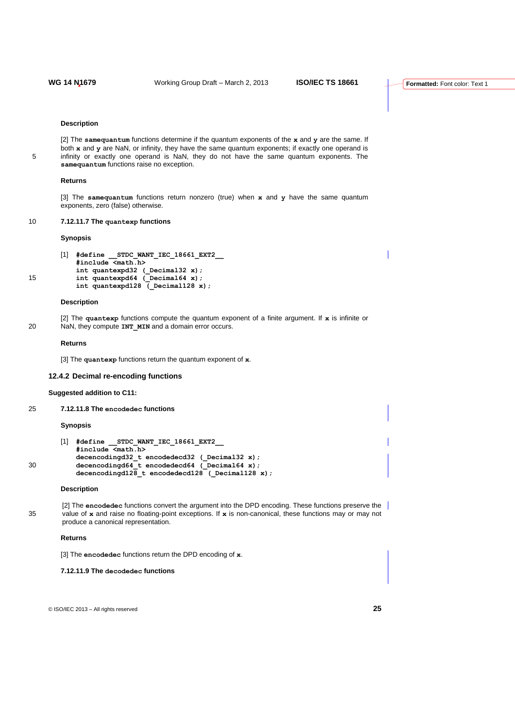#### **Description**

[2] The **samequantum** functions determine if the quantum exponents of the **x** and **y** are the same. If both **x** and **y** are NaN, or infinity, they have the same quantum exponents; if exactly one operand is 5 infinity or exactly one operand is NaN, they do not have the same quantum exponents. The **samequantum** functions raise no exception.

#### **Returns**

[3] The **samequantum** functions return nonzero (true) when **x** and **y** have the same quantum exponents, zero (false) otherwise.

## 10 **7.12.11.7 The quantexp functions**

#### **Synopsis**

```
[1] #define __STDC_WANT_IEC_18661_EXT2__
           #include <math.h>
          int quantexpd32 (_Decimal32 x);
15 int quantexpd64 (_Decimal64 x);
```
**int quantexpd128 (\_Decimal128 x);** 

#### **Description**

- 
- [2] The **quantexp** functions compute the quantum exponent of a finite argument. If **x** is infinite or 20 NaN, they compute **INT MIN** and a domain error occurs.

#### **Returns**

[3] The **quantexp** functions return the quantum exponent of **x**.

#### **12.4.2 Decimal re-encoding functions**

#### **Suggested addition to C11:**

25 **7.12.11.8 The encodedec functions**

#### **Synopsis**

```
[1] #define __STDC_WANT_IEC_18661_EXT2__
           #include <math.h>
           decencodingd32_t encodedecd32 (_Decimal32 x);
30 decencodingd64_t encodedecd64 (_Decimal64 x);
           decencodingd128_t encodedecd128 (_Decimal128 x);
```
## **Description**

[2] The **encodedec** functions convert the argument into the DPD encoding. These functions preserve the 35 value of **x** and raise no floating-point exceptions. If **x** is non-canonical, these functions may or may not produce a canonical representation.

#### **Returns**

[3] The **encodedec** functions return the DPD encoding of **x**.

## **7.12.11.9 The decodedec functions**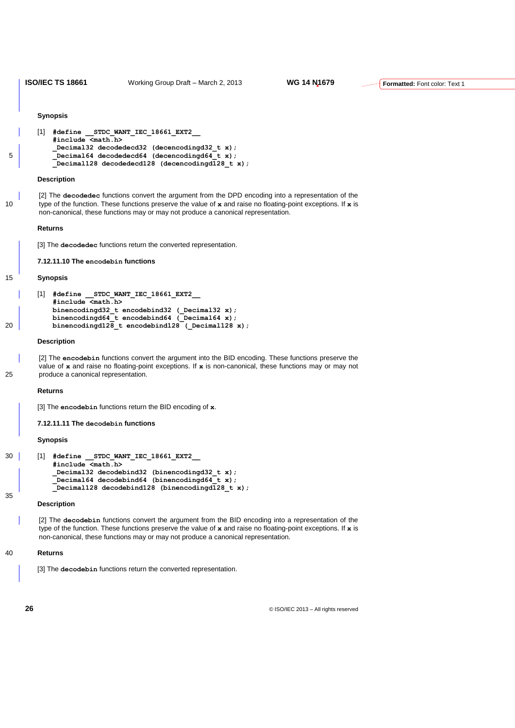**ISO/IEC TS 18661** Working Group Draft – March 2, 2013 **WG 14 N1679**

#### **Synopsis**

```
[1] #define __STDC_WANT_IEC_18661_EXT2__
          #include <math.h>
          _Decimal32 decodedecd32 (decencodingd32_t x);
5 Decimal64 decodedecd64 (decencodingd64 t x);
          _Decimal128 decodedecd128 (decencodingd128_t x);
```
#### **Description**

[2] The **decodedec** functions convert the argument from the DPD encoding into a representation of the 10 type of the function. These functions preserve the value of **x** and raise no floating-point exceptions. If **x** is non-canonical, these functions may or may not produce a canonical representation.

#### **Returns**

[3] The **decodedec** functions return the converted representation.

**7.12.11.10 The encodebin functions**

#### 15 **Synopsis**

```
[1] #define __STDC_WANT_IEC_18661_EXT2__
           #include <math.h>
           binencodingd32_t encodebind32 (_Decimal32 x);
           binencodingd64_t encodebind64 (_Decimal64 x);
20 binencodingd128_t encodebind128 (_Decimal128 x);
```
#### **Description**

[2] The **encodebin** functions convert the argument into the BID encoding. These functions preserve the value of **x** and raise no floating-point exceptions. If **x** is non-canonical, these functions may or may not 25 produce a canonical representation.

#### **Returns**

[3] The **encodebin** functions return the BID encoding of **x**.

**7.12.11.11 The decodebin functions**

#### **Synopsis**

```
30 [1] #define __STDC_WANT_IEC_18661_EXT2__
           #include <math.h>
           _Decimal32 decodebind32 (binencodingd32_t x);
            _Decimal64 decodebind64 (binencodingd64_t x);
           _Decimal128 decodebind128 (binencodingd128_t x);
35
```
#### **Description**

[2] The **decodebin** functions convert the argument from the BID encoding into a representation of the type of the function. These functions preserve the value of **x** and raise no floating-point exceptions. If **x** is non-canonical, these functions may or may not produce a canonical representation.

## 40 **Returns**

[3] The **decodebin** functions return the converted representation.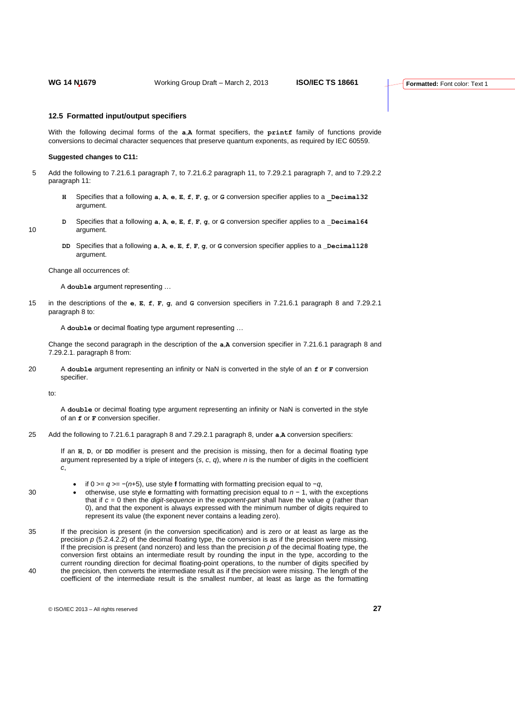#### **12.5 Formatted input/output specifiers**

With the following decimal forms of the **a**,**A** format specifiers, the **printf** family of functions provide conversions to decimal character sequences that preserve quantum exponents, as required by IEC 60559.

#### **Suggested changes to C11:**

- 5 Add the following to 7.21.6.1 paragraph 7, to 7.21.6.2 paragraph 11, to 7.29.2.1 paragraph 7, and to 7.29.2.2 paragraph 11:
	- **H** Specifies that a following **a**, **A**, **e**, **E**, **f**, **F**, **g**, or **G** conversion specifier applies to a **\_Decimal32** argument.
- **D** Specifies that a following **a**, **A**, **e**, **E**, **f**, **F**, **g**, or **G** conversion specifier applies to a \_**Decimal64** 10 argument.
	- **DD** Specifies that a following **a**, **A**, **e**, **E**, **f**, **F**, **g**, or **G** conversion specifier applies to a **\_Decimal128** argument.

Change all occurrences of:

- A **double** argument representing …
- 15 in the descriptions of the **e**, **E**, **f**, **F**, **g**, and **G** conversion specifiers in 7.21.6.1 paragraph 8 and 7.29.2.1 paragraph 8 to:

A **double** or decimal floating type argument representing …

Change the second paragraph in the description of the **a**,**A** conversion specifier in 7.21.6.1 paragraph 8 and 7.29.2.1. paragraph 8 from:

20 A **double** argument representing an infinity or NaN is converted in the style of an **f** or **F** conversion specifier.

to:

A **double** or decimal floating type argument representing an infinity or NaN is converted in the style of an **f** or **F** conversion specifier.

25 Add the following to 7.21.6.1 paragraph 8 and 7.29.2.1 paragraph 8, under **a**,**A** conversion specifiers:

If an **H**, **D**, or **DD** modifier is present and the precision is missing, then for a decimal floating type argument represented by a triple of integers (*s*, *c*, *q*), where *n* is the number of digits in the coefficient *c*,

- if 0 >= *q* >= −(*n*+5), use style **f** formatting with formatting precision equal to −*q*,
- 30 otherwise, use style **e** formatting with formatting precision equal to *n* − 1, with the exceptions that if *c* = 0 then the *digit-sequence* in the *exponent-part* shall have the value *q* (rather than 0), and that the exponent is always expressed with the minimum number of digits required to represent its value (the exponent never contains a leading zero).
- 35 If the precision is present (in the conversion specification) and is zero or at least as large as the precision  $p$  (5.2.4.2.2) of the decimal floating type, the conversion is as if the precision were missing. If the precision is present (and nonzero) and less than the precision *p* of the decimal floating type, the conversion first obtains an intermediate result by rounding the input in the type, according to the current rounding direction for decimal floating-point operations, to the number of digits specified by 40 the precision, then converts the intermediate result as if the precision were missing. The length of the coefficient of the intermediate result is the smallest number, at least as large as the formatting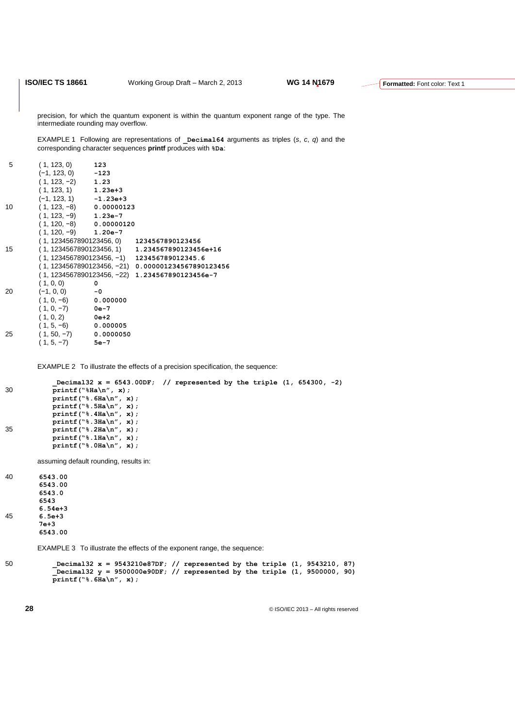precision, for which the quantum exponent is within the quantum exponent range of the type. The intermediate rounding may overflow.

EXAMPLE 1 Following are representations of **\_Decimal64** arguments as triples (*s*, *c*, *q*) and the corresponding character sequences **printf** produces with **%Da**:

| 5  | (1, 123, 0)               | 123                       |                                                    |
|----|---------------------------|---------------------------|----------------------------------------------------|
|    | $(-1, 123, 0)$ $-123$     |                           |                                                    |
|    | $(1, 123, -2)$ 1.23       |                           |                                                    |
|    | $(1, 123, 1)$ 1.23e+3     |                           |                                                    |
|    | $(-1, 123, 1)$ $-1.23e+3$ |                           |                                                    |
| 10 |                           | $(1, 123, -8)$ 0.00000123 |                                                    |
|    | $(1, 123, -9)$ 1.23e-7    |                           |                                                    |
|    |                           | $(1, 120, -8)$ 0.00000120 |                                                    |
|    | $(1, 120, -9)$ 1.20e-7    |                           |                                                    |
|    |                           |                           | $(1, 1234567890123456, 0)$ 1234567890123456        |
| 15 |                           |                           | $(1, 1234567890123456, 1)$ 1.234567890123456e+16   |
|    |                           |                           | $(1, 1234567890123456, -1)$ 123456789012345.6      |
|    |                           |                           | (1,1234567890123456, -21)  0.000001234567890123456 |
|    |                           |                           | (1, 1234567890123456, −22) 1.234567890123456e-7    |
|    | (1, 0, 0)                 | 0                         |                                                    |
| 20 | $(-1, 0, 0)$              | $-0$                      |                                                    |
|    | $(1, 0, -6)$              | 0.000000                  |                                                    |
|    | $(1, 0, -7)$              | 0e-7                      |                                                    |
|    | $(1, 0, 2)$ 0e+2          |                           |                                                    |
|    | $(1, 5, -6)$ 0.000005     |                           |                                                    |
| 25 | $(1, 50, -7)$ 0.0000050   |                           |                                                    |
|    | $(1, 5, -7)$ 5e-7         |                           |                                                    |
|    |                           |                           |                                                    |

EXAMPLE 2 To illustrate the effects of a precision specification, the sequence:

```
_Decimal32 x = 6543.00DF; // represented by the triple (1, 654300, -2)
30 printf("%Ha\n", x);
           printf("%.6Ha\n", x);
           printf("%.5Ha\n", x);
          printf("%.4Ha\n", x);
          printf("%.3Ha\n", x);
35 printf("%.2Ha\n", x);
           printf("%.1Ha\n", x);
           printf("%.0Ha\n", x);
```
assuming default rounding, results in:

40 **6543.00 6543.00 6543.0 6543 6.54e+3** 45 **6.5e+3 7e+3 6543.00**

EXAMPLE 3 To illustrate the effects of the exponent range, the sequence:

```
50 _Decimal32 x = 9543210e87DF; // represented by the triple (1, 9543210, 87)
           _Decimal32 y = 9500000e90DF; // represented by the triple (1, 9500000, 90)
          printf("%.6Ha\n", x);
```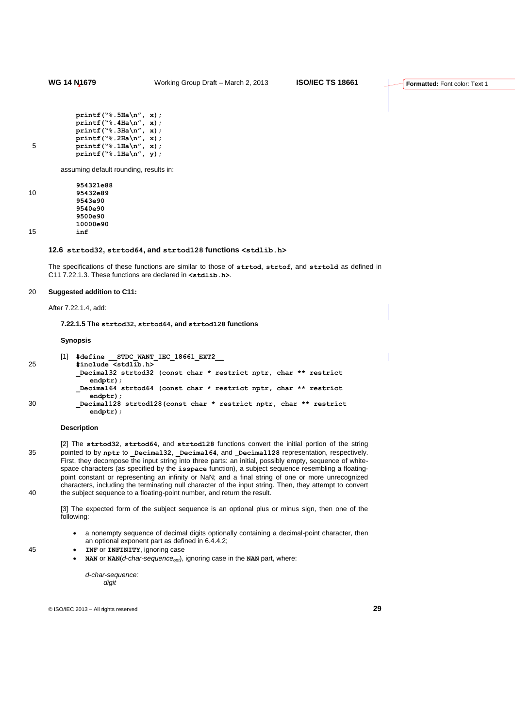```
printf("%.5Ha\n", x);
         printf("%.4Ha\n", x);
         printf("%.3Ha\n", x);
         printf("%.2Ha\n", x);
5 printf("%.1Ha\n", x);
          printf("%.1Ha\n", y);
```
assuming default rounding, results in:

|    | 954321e88 |
|----|-----------|
| 10 | 95432e89  |
|    | 9543e90   |
|    | 9540e90   |
|    | 9500e90   |
|    | 10000e90  |
| 15 | inf       |

## **12.6 strtod32, strtod64, and strtod128 functions <stdlib.h>**

The specifications of these functions are similar to those of **strtod**, **strtof**, and **strtold** as defined in C11 7.22.1.3. These functions are declared in **<stdlib.h>**.

# 20 **Suggested addition to C11:**

After 7.22.1.4, add:

#### **7.22.1.5 The strtod32, strtod64, and strtod128 functions**

#### **Synopsis**

|    | [1] | #define STDC WANT IEC 18661 EXT2                                                  |
|----|-----|-----------------------------------------------------------------------------------|
| 25 |     | #include <stdlib.h></stdlib.h>                                                    |
|    |     | Decimal32 strtod32 (const char * restrict nptr, char ** restrict                  |
|    |     | $endptr)$ :                                                                       |
|    |     | Decimal64 strtod64 (const char * restrict nptr, char ** restrict<br>$endptr)$ :   |
| 30 |     | Decimal128 strtod128 (const char * restrict nptr, char ** restrict<br>$endptr)$ ; |

#### **Description**

[2] The **strtod32**, **strtod64**, and **strtod128** functions convert the initial portion of the string 35 pointed to by **nptr** to **\_Decimal32**, **\_Decimal64**, and **\_Decimal128** representation, respectively. First, they decompose the input string into three parts: an initial, possibly empty, sequence of whitespace characters (as specified by the **isspace** function), a subject sequence resembling a floatingpoint constant or representing an infinity or NaN; and a final string of one or more unrecognized characters, including the terminating null character of the input string. Then, they attempt to convert 40 the subject sequence to a floating-point number, and return the result.

[3] The expected form of the subject sequence is an optional plus or minus sign, then one of the following:

- a nonempty sequence of decimal digits optionally containing a decimal-point character, then an optional exponent part as defined in 6.4.4.2;
- 45 **INF** or **INFINITY**, ignoring case
	- **NAN** or **NAN**(*d-char-sequenceopt*), ignoring case in the **NAN** part, where:

*d-char-sequence: digit*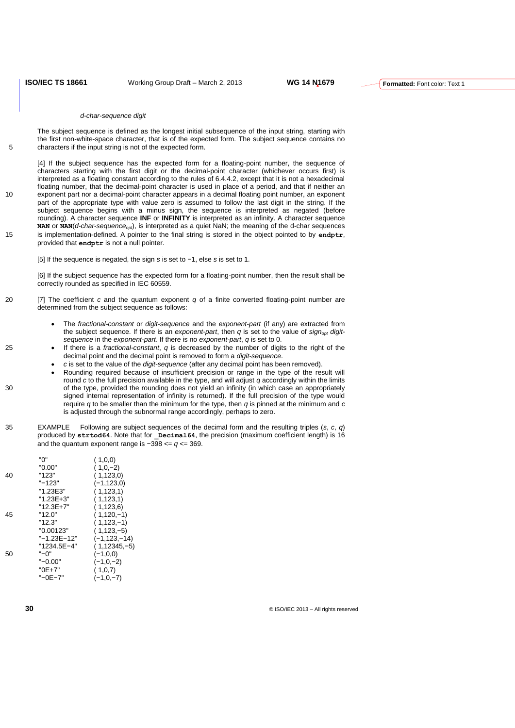#### *d-char-sequence digit*

The subject sequence is defined as the longest initial subsequence of the input string, starting with the first non-white-space character, that is of the expected form. The subject sequence contains no 5 characters if the input string is not of the expected form.

[4] If the subject sequence has the expected form for a floating-point number, the sequence of characters starting with the first digit or the decimal-point character (whichever occurs first) is interpreted as a floating constant according to the rules of 6.4.4.2, except that it is not a hexadecimal floating number, that the decimal-point character is used in place of a period, and that if neither an 10 exponent part nor a decimal-point character appears in a decimal floating point number, an exponent part of the appropriate type with value zero is assumed to follow the last digit in the string. If the subject sequence begins with a minus sign, the sequence is interpreted as negated (before rounding). A character sequence **INF** or **INFINITY** is interpreted as an infinity. A character sequence NAN or NAN(*d-char-sequence<sub>opt</sub>*), is interpreted as a quiet NaN; the meaning of the d-char sequences 15 is implementation-defined. A pointer to the final string is stored in the object pointed to by **endptr**,

- provided that **endptr** is not a null pointer.
	- [5] If the sequence is negated, the sign *s* is set to −1, else *s* is set to 1.

[6] If the subject sequence has the expected form for a floating-point number, then the result shall be correctly rounded as specified in IEC 60559.

- 20 [7] The coefficient *c* and the quantum exponent *q* of a finite converted floating-point number are determined from the subject sequence as follows:
	- The *fractional-constant* or *digit-sequence* and the *exponent-part* (if any) are extracted from the subject sequence. If there is an *exponent-part*, then *q* is set to the value of *signopt digitsequence* in the *exponent-part*. If there is no *exponent-part*, *q* is set to 0.
- 25 If there is a *fractional-constant*, *q* is decreased by the number of digits to the right of the decimal point and the decimal point is removed to form a *digit-sequence*.
	- *c* is set to the value of the *digit-sequence* (after any decimal point has been removed).
- Rounding required because of insufficient precision or range in the type of the result will round *c* to the full precision available in the type, and will adjust *q* accordingly within the limits 30 of the type, provided the rounding does not yield an infinity (in which case an appropriately signed internal representation of infinity is returned). If the full precision of the type would require *q* to be smaller than the minimum for the type, then *q* is pinned at the minimum and *c* is adjusted through the subnormal range accordingly, perhaps to zero.
- 35 EXAMPLE Following are subject sequences of the decimal form and the resulting triples (*s*, *c*, *q*) produced by **strtod64**. Note that for **pecimal64**, the precision (maximum coefficient length) is 16 and the quantum exponent range is  $-398 \le a \le 369$ .

|    | "በ"         | (1,0,0)      |
|----|-------------|--------------|
|    | "0.00"      | $(1,0,-2)$   |
| 40 | "123"       | (1, 123, 0)  |
|    | "-123"      | (-1,123,0)   |
|    | "1.23E3"    | (1,123,1)    |
|    | "1.23E+3"   | (1, 123, 1)  |
|    | "12.3E+7"   | (1,123,6)    |
| 45 | "12.0"      | (1,120,-1)   |
|    | "12.3"      | (1,123,-1)   |
|    | "0.00123"   | (1,123, – 5) |
|    | "-1.23E-12" | (-1,123,-14) |
|    | "1234.5E-4" | (1,12345,-5) |
| 50 | "–ባ"        | $(-1,0,0)$   |
|    | "-0.00"     | $(-1,0,-2)$  |
|    | "0E+7"      | (1,0,7)      |
|    | "-0E-7"     | $(-1,0,-7)$  |
|    |             |              |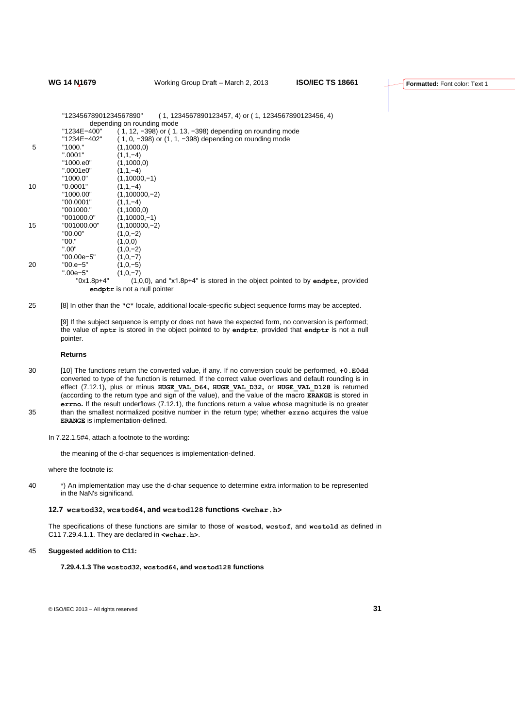"12345678901234567890" ( 1, 1234567890123457, 4) or ( 1, 1234567890123456, 4) depending on rounding mode<br>"1234E-400" (1.12. -398) or  $(1, 1)$ "1234E−400" ( 1, 12, −398) or ( 1, 13, −398) depending on rounding mode<br>"1234E−402" ( 1, 0, −398) or (1, 1, −398) depending on rounding mode "1234E−402" ( 1, 0, −398) or (1, 1, −398) depending on rounding mode 5  $"1000."$   $(1,1000,0)$ <br> $".0001"$   $(1,1,-4)$  $(1,1,-4)$ <br> $(1,1000,0)$ "1000.e0"<br>"0001e0" ".0001e0" (1,1,−4)<br>"1000.0" (1,1000  $(1,10000,-1)$ <br> $(1.1,-4)$ 10 "0.0001"<br>"1000.00"  $(1,100000,-2)$ "00.0001" (1,1,−4) "001000." (1,1000,0) "001000.0" (1,10000,−1)<br>"001000.00" (1,100000,−2 15 "001000.00" (1,100000,−2)<br>"00.00" (1.0.−2)  $"00.00"$  (1,0,−2)<br>"00 " (1 0 0)  $"00."$  (1,0,0)<br>" 00" (1 0 -2  $(1,0,-2)$ <br> $(1,0,-7)$ "00.00e−5" (1,0,−7) 20 "00.e−5" ".00e−5" (1,0,−7) "0x1.8p+4" (1,0,0), and "x1.8p+4" is stored in the object pointed to by **endptr**, provided **endptr** is not a null pointer

25 [8] In other than the **"C"** locale, additional locale-specific subject sequence forms may be accepted.

[9] If the subject sequence is empty or does not have the expected form, no conversion is performed; the value of **nptr** is stored in the object pointed to by **endptr**, provided that **endptr** is not a null pointer.

## **Returns**

- 30 [10] The functions return the converted value, if any. If no conversion could be performed, **+0.E0dd** converted to type of the function is returned. If the correct value overflows and default rounding is in effect (7.12.1), plus or minus **HUGE\_VAL\_D64, HUGE\_VAL\_D32,** or **HUGE\_VAL\_D128** is returned (according to the return type and sign of the value), and the value of the macro **ERANGE** is stored in **errno.** If the result underflows (7.12.1), the functions return a value whose magnitude is no greater 35 than the smallest normalized positive number in the return type; whether **errno** acquires the value **ERANGE** is implementation-defined.
	- In 7.22.1.5#4, attach a footnote to the wording:

the meaning of the d-char sequences is implementation-defined.

where the footnote is:

40 \*) An implementation may use the d-char sequence to determine extra information to be represented in the NaN's significand.

#### **12.7 wcstod32, wcstod64, and wcstod128 functions <wchar.h>**

The specifications of these functions are similar to those of **wcstod**, **wcstof**, and **wcstold** as defined in C11 7.29.4.1.1. They are declared in **<wchar.h>**.

#### 45 **Suggested addition to C11:**

**7.29.4.1.3 The wcstod32, wcstod64, and wcstod128 functions**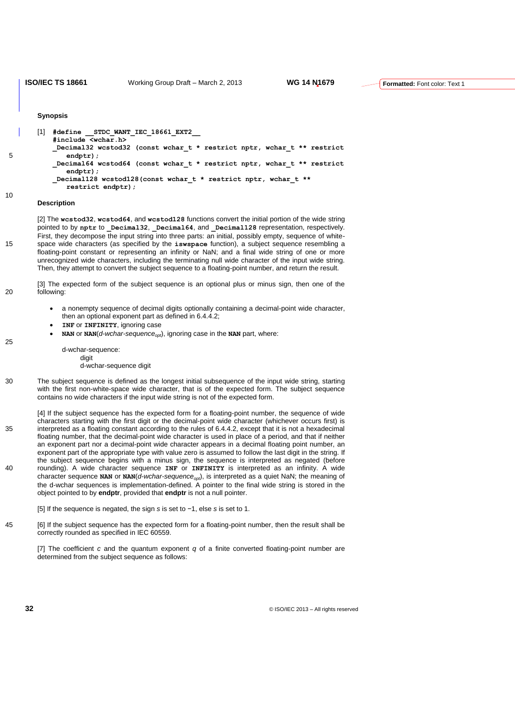#### **Synopsis**

|   | [1] | #define STDC WANT IEC 18661 EXT2                                                      |
|---|-----|---------------------------------------------------------------------------------------|
|   |     | #include <wchar.h></wchar.h>                                                          |
| 5 |     | Decimal32 wcstod32 (const wchar t * restrict nptr, wchar t ** restrict<br>$endptr)$ : |
|   |     | Decimal64 wcstod64 (const wchar t * restrict nptr, wchar t ** restrict<br>$endptr)$ : |
|   |     | Decimal128 wcstod128 (const wchar t * restrict nptr, wchar t **                       |
|   |     | restrict endptr):                                                                     |

#### **Description**

10

25

[2] The **wcstod32**, **wcstod64**, and **wcstod128** functions convert the initial portion of the wide string pointed to by nptr to Decimal32, Decimal64, and Decimal128 representation, respectively. First, they decompose the input string into three parts: an initial, possibly empty, sequence of white-15 space wide characters (as specified by the **iswspace** function), a subject sequence resembling a floating-point constant or representing an infinity or NaN; and a final wide string of one or more unrecognized wide characters, including the terminating null wide character of the input wide string. Then, they attempt to convert the subject sequence to a floating-point number, and return the result.

[3] The expected form of the subject sequence is an optional plus or minus sign, then one of the 20 following:

- a nonempty sequence of decimal digits optionally containing a decimal-point wide character, then an optional exponent part as defined in 6.4.4.2;
- **INF** or **INFINITY**, ignoring case
- **NAN** or **NAN**(*d-wchar-sequenceopt*), ignoring case in the **NAN** part, where:

#### d-wchar-sequence: digit

- d-wchar-sequence digit
- 30 The subject sequence is defined as the longest initial subsequence of the input wide string, starting with the first non-white-space wide character, that is of the expected form. The subject sequence contains no wide characters if the input wide string is not of the expected form.

[4] If the subject sequence has the expected form for a floating-point number, the sequence of wide characters starting with the first digit or the decimal-point wide character (whichever occurs first) is 35 interpreted as a floating constant according to the rules of 6.4.4.2, except that it is not a hexadecimal floating number, that the decimal-point wide character is used in place of a period, and that if neither an exponent part nor a decimal-point wide character appears in a decimal floating point number, an exponent part of the appropriate type with value zero is assumed to follow the last digit in the string. If the subject sequence begins with a minus sign, the sequence is interpreted as negated (before 40 rounding). A wide character sequence **INF** or **INFINITY** is interpreted as an infinity. A wide character sequence **NAN** or **NAN**(*d-wchar-sequenceopt*), is interpreted as a quiet NaN; the meaning of the d-wchar sequences is implementation-defined. A pointer to the final wide string is stored in the object pointed to by **endptr**, provided that **endptr** is not a null pointer.

[5] If the sequence is negated, the sign *s* is set to −1, else *s* is set to 1.

45 [6] If the subject sequence has the expected form for a floating-point number, then the result shall be correctly rounded as specified in IEC 60559.

[7] The coefficient *c* and the quantum exponent *q* of a finite converted floating-point number are determined from the subject sequence as follows: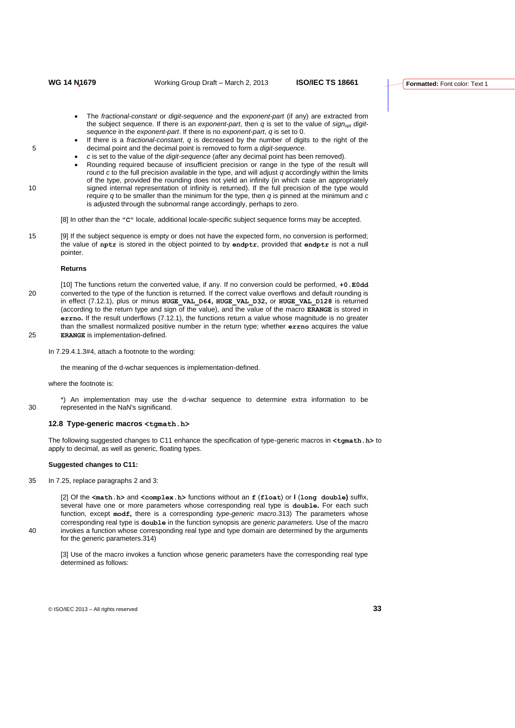- The *fractional-constant* or *digit-sequence* and the *exponent-part* (if any) are extracted from the subject sequence. If there is an *exponent-part*, then *q* is set to the value of *signopt digitsequence* in the *exponent-part*. If there is no *exponent-part*, *q* is set to 0.
- If there is a *fractional-constant*, *q* is decreased by the number of digits to the right of the 5 decimal point and the decimal point is removed to form a *digit-sequence*.
	- *c* is set to the value of the *digit-sequence* (after any decimal point has been removed).
- Rounding required because of insufficient precision or range in the type of the result will round *c* to the full precision available in the type, and will adjust *q* accordingly within the limits of the type, provided the rounding does not yield an infinity (in which case an appropriately 10 signed internal representation of infinity is returned). If the full precision of the type would require *q* to be smaller than the minimum for the type, then *q* is pinned at the minimum and *c* is adjusted through the subnormal range accordingly, perhaps to zero.

[8] In other than the **"C"** locale, additional locale-specific subject sequence forms may be accepted.

15 [9] If the subject sequence is empty or does not have the expected form, no conversion is performed; the value of **nptr** is stored in the object pointed to by **endptr**, provided that **endptr** is not a null pointer.

#### **Returns**

[10] The functions return the converted value, if any. If no conversion could be performed, **+0.E0dd** 20 converted to the type of the function is returned. If the correct value overflows and default rounding is in effect (7.12.1), plus or minus **HUGE\_VAL\_D64, HUGE\_VAL\_D32,** or **HUGE\_VAL\_D128** is returned (according to the return type and sign of the value), and the value of the macro **ERANGE** is stored in **errno.** If the result underflows (7.12.1), the functions return a value whose magnitude is no greater than the smallest normalized positive number in the return type; whether **errno** acquires the value 25 **ERANGE** is implementation-defined.

In 7.29.4.1.3#4, attach a footnote to the wording:

the meaning of the d-wchar sequences is implementation-defined.

where the footnote is:

\*) An implementation may use the d-wchar sequence to determine extra information to be 30 represented in the NaN's significand.

#### **12.8 Type-generic macros <tgmath.h>**

The following suggested changes to C11 enhance the specification of type-generic macros in **<tgmath.h>** to apply to decimal, as well as generic, floating types.

#### **Suggested changes to C11:**

35 In 7.25, replace paragraphs 2 and 3:

[2] Of the **<math.h>** and **<complex.h>** functions without an **f** (**float**) or **l** (**long double)** suffix, several have one or more parameters whose corresponding real type is **double.** For each such function, except **modf,** there is a corresponding *type-generic macro*.313) The parameters whose corresponding real type is **double** in the function synopsis are *generic parameters.* Use of the macro 40 invokes a function whose corresponding real type and type domain are determined by the arguments for the generic parameters.314)

[3] Use of the macro invokes a function whose generic parameters have the corresponding real type determined as follows: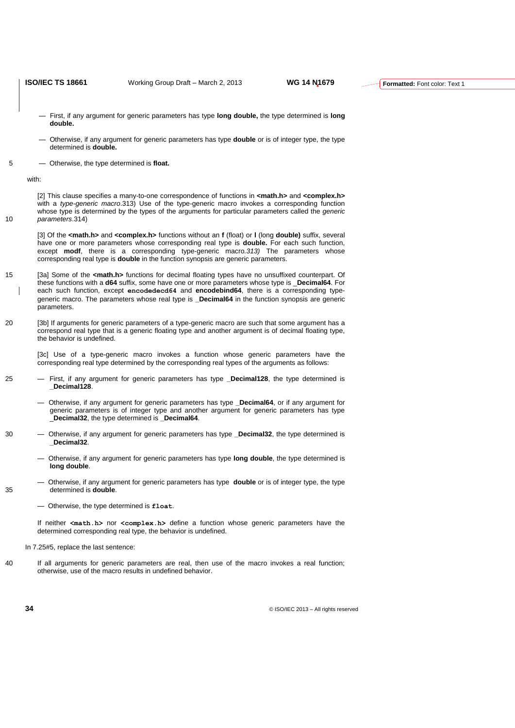- First, if any argument for generic parameters has type **long double,** the type determined is **long double.**
- Otherwise, if any argument for generic parameters has type **double** or is of integer type, the type determined is **double.**
- 5 Otherwise, the type determined is **float.**

with:

[2] This clause specifies a many-to-one correspondence of functions in **<math.h>** and **<complex.h>** with a *type-generic macro*.313) Use of the type-generic macro invokes a corresponding function whose type is determined by the types of the arguments for particular parameters called the *generic*  10 *parameters*.314)

- [3] Of the **<math.h>** and **<complex.h>** functions without an **f** (float) or **l** (long **double)** suffix, several have one or more parameters whose corresponding real type is **double.** For each such function, except **modf**, there is a corresponding type-generic macro*.313)* The parameters whose corresponding real type is **double** in the function synopsis are generic parameters.
- 15 [3a] Some of the **<math.h>** functions for decimal floating types have no unsuffixed counterpart. Of these functions with a **d64** suffix, some have one or more parameters whose type is \_**Decimal64**. For each such function, except **encodedecd64** and **encodebind64**, there is a corresponding typegeneric macro. The parameters whose real type is **\_Decimal64** in the function synopsis are generic parameters.
- 20 [3b] If arguments for generic parameters of a type-generic macro are such that some argument has a correspond real type that is a generic floating type and another argument is of decimal floating type, the behavior is undefined.

[3c] Use of a type-generic macro invokes a function whose generic parameters have the corresponding real type determined by the corresponding real types of the arguments as follows:

- 25 First, if any argument for generic parameters has type **Decimal128**, the type determined is **\_Decimal128**.
	- Otherwise, if any argument for generic parameters has type **\_Decimal64**, or if any argument for generic parameters is of integer type and another argument for generic parameters has type \_**Decimal32**, the type determined is **\_Decimal64**.
- 30 Otherwise, if any argument for generic parameters has type **\_Decimal32**, the type determined is **\_Decimal32**.
	- Otherwise, if any argument for generic parameters has type **long double**, the type determined is **long double**.
- Otherwise, if any argument for generic parameters has type **double** or is of integer type, the type 35 determined is **double**.
	- Otherwise, the type determined is **float**.

If neither **<math.h>** nor **<complex.h>** define a function whose generic parameters have the determined corresponding real type, the behavior is undefined.

- In 7.25#5, replace the last sentence:
- 40 If all arguments for generic parameters are real, then use of the macro invokes a real function; otherwise, use of the macro results in undefined behavior.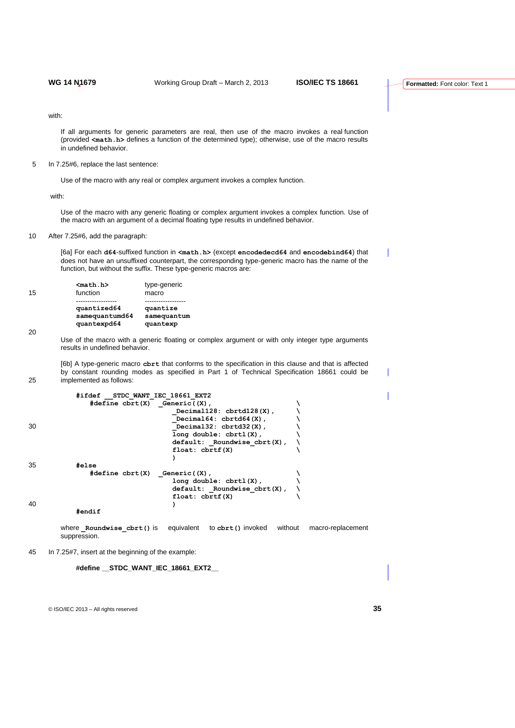with:

If all arguments for generic parameters are real, then use of the macro invokes a real function (provided **<math.h>** defines a function of the determined type); otherwise, use of the macro results in undefined behavior.

5 In 7.25#6, replace the last sentence:

Use of the macro with any real or complex argument invokes a complex function.

with:

Use of the macro with any generic floating or complex argument invokes a complex function. Use of the macro with an argument of a decimal floating type results in undefined behavior.

10 After 7.25#6, add the paragraph:

[6a] For each **d64**-suffixed function in **<math.h>** (except **encodedecd64** and **encodebind64**) that does not have an unsuffixed counterpart, the corresponding type-generic macro has the name of the function, but without the suffix. These type-generic macros are:

|    | $nath.h$       | type-generic |
|----|----------------|--------------|
| 15 | function       | macro        |
|    |                |              |
|    | quantized64    | quantize     |
|    | samequantumd64 | samequantum  |
|    | quantexpd64    | quantexp     |

20

Use of the macro with a generic floating or complex argument or with only integer type arguments results in undefined behavior.

[6b] A type-generic macro **cbrt** that conforms to the specification in this clause and that is affected by constant rounding modes as specified in Part 1 of Technical Specification 18661 could be 25 implemented as follows:

|    | #ifdef STDC WANT IEC 18661 EXT2                        |  |
|----|--------------------------------------------------------|--|
|    | #define $cbrt(X)$ Generic( $(X)$ ,                     |  |
|    | Decimal128: $cbrtd128(X)$ ,                            |  |
|    | Decimal64: $cbrtd64(X)$ ,                              |  |
| 30 | Decimal32: $cbrtd32(X)$ ,                              |  |
|    | $long double: chrtl(X)$ ,                              |  |
|    | $default:$ Roundwise $cbrt(X)$ ,                       |  |
|    | float: chrtf(X)                                        |  |
|    |                                                        |  |
| 35 | #else                                                  |  |
|    | $\#define \; \text{chrt}(X) \quad \text{Generic}((X),$ |  |
|    | $long double: chrtl(X)$ ,                              |  |
|    | $default:$ Roundwise $cbrt(X)$ ,                       |  |
|    | float: chrtf(X)                                        |  |
| 40 |                                                        |  |
|    | #endif                                                 |  |
|    |                                                        |  |

where **\_Roundwise\_cbrt()** is equivalent to **cbrt()** invoked without macro-replacement suppression.

45 In 7.25#7, insert at the beginning of the example:

**#define \_\_STDC\_WANT\_IEC\_18661\_EXT2\_\_**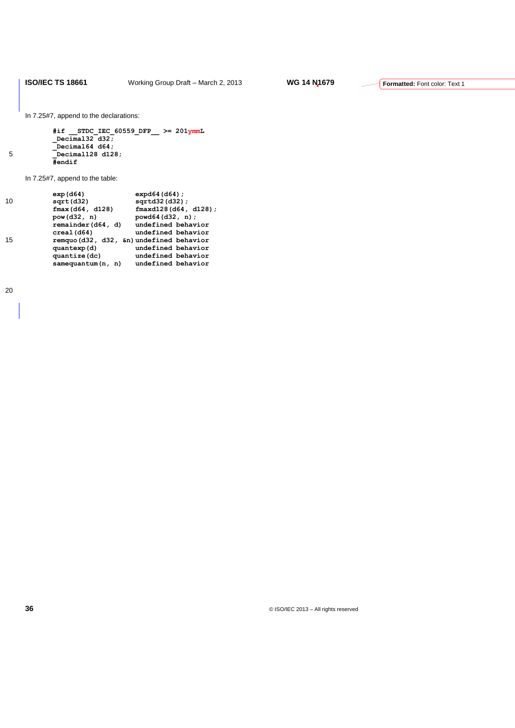In 7.25#7, append to the declarations:

|   | #if STDC IEC 60559 DFP $\geq$ 201ymmL |
|---|---------------------------------------|
|   | Decimal $32 d32$                      |
|   | Decimal $64 d64$ :                    |
| 5 | Decimal128 d128;                      |
|   | #endif                                |

In 7.25#7, append to the table:

|    | exp(164)           | $expd64$ (d64) ;                         |
|----|--------------------|------------------------------------------|
| 10 | sqrt( d32)         | $sqrt(132)(d32)$ ;                       |
|    | fmax(164, d128)    | $fmaxd128$ (d64, d128);                  |
|    | pow(d32, n)        | powd64(d32, n);                          |
|    | remainder (d64, d) | undefined behavior                       |
|    | creal (d64)        | undefined behavior                       |
| 15 |                    | remquo (d32, d32, &n) undefined behavior |
|    | quantexp(d)        | undefined behavior                       |
|    | quantize (dc)      | undefined behavior                       |
|    | samequantum(n, n)  | undefined behavior                       |
|    |                    |                                          |

20